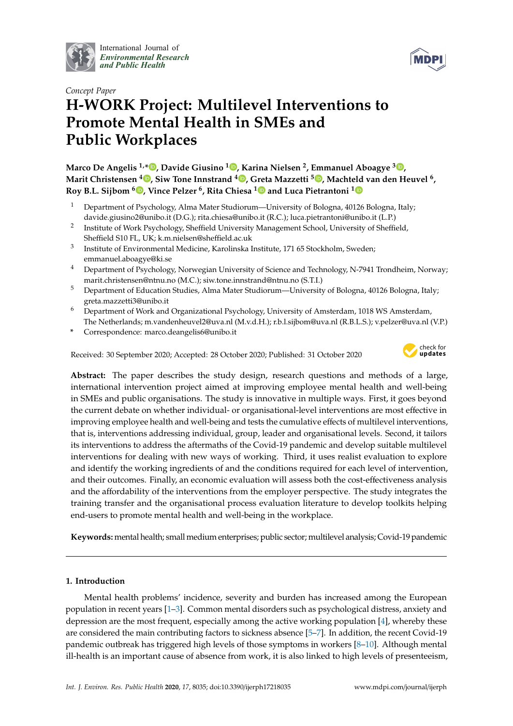

International Journal of *[Environmental Research](http://www.mdpi.com/journal/ijerph) and Public Health*



# *Concept Paper* **H-WORK Project: Multilevel Interventions to Promote Mental Health in SMEs and Public Workplaces**

**Marco De Angelis 1,\* [,](https://orcid.org/0000-0001-9351-5940) Davide Giusino <sup>1</sup> [,](https://orcid.org/0000-0003-0878-1748) Karina Nielsen <sup>2</sup> , Emmanuel Aboagye <sup>3</sup> [,](https://orcid.org/0000-0001-5709-5387) Marit Christensen <sup>4</sup> [,](https://orcid.org/0000-0002-6246-4383) Siw Tone Innstrand <sup>4</sup> [,](https://orcid.org/0000-0002-8132-962X) Greta Mazzetti <sup>5</sup> [,](https://orcid.org/0000-0002-2820-3315) Machteld van den Heuvel <sup>6</sup> , Roy B.L. Sijbom <sup>6</sup> [,](https://orcid.org/0000-0001-8473-3903) Vince Pelzer <sup>6</sup> , Rita Chiesa [1](https://orcid.org/0000-0001-6308-8781) and Luca Pietrantoni [1](https://orcid.org/0000-0002-3966-3800)**

- <sup>1</sup> Department of Psychology, Alma Mater Studiorum—University of Bologna, 40126 Bologna, Italy; davide.giusino2@unibo.it (D.G.); rita.chiesa@unibo.it (R.C.); luca.pietrantoni@unibo.it (L.P.)
- 2 Institute of Work Psychology, Sheffield University Management School, University of Sheffield, Sheffield S10 FL, UK; k.m.nielsen@sheffield.ac.uk
- 3 Institute of Environmental Medicine, Karolinska Institute, 171 65 Stockholm, Sweden; emmanuel.aboagye@ki.se
- <sup>4</sup> Department of Psychology, Norwegian University of Science and Technology, N-7941 Trondheim, Norway; marit.christensen@ntnu.no (M.C.); siw.tone.innstrand@ntnu.no (S.T.I.)
- <sup>5</sup> Department of Education Studies, Alma Mater Studiorum—University of Bologna, 40126 Bologna, Italy; greta.mazzetti3@unibo.it
- <sup>6</sup> Department of Work and Organizational Psychology, University of Amsterdam, 1018 WS Amsterdam, The Netherlands; m.vandenheuvel2@uva.nl (M.v.d.H.); r.b.l.sijbom@uva.nl (R.B.L.S.); v.pelzer@uva.nl (V.P.)
- **\*** Correspondence: marco.deangelis6@unibo.it

Received: 30 September 2020; Accepted: 28 October 2020; Published: 31 October 2020



**Abstract:** The paper describes the study design, research questions and methods of a large, international intervention project aimed at improving employee mental health and well-being in SMEs and public organisations. The study is innovative in multiple ways. First, it goes beyond the current debate on whether individual- or organisational-level interventions are most effective in improving employee health and well-being and tests the cumulative effects of multilevel interventions, that is, interventions addressing individual, group, leader and organisational levels. Second, it tailors its interventions to address the aftermaths of the Covid-19 pandemic and develop suitable multilevel interventions for dealing with new ways of working. Third, it uses realist evaluation to explore and identify the working ingredients of and the conditions required for each level of intervention, and their outcomes. Finally, an economic evaluation will assess both the cost-effectiveness analysis and the affordability of the interventions from the employer perspective. The study integrates the training transfer and the organisational process evaluation literature to develop toolkits helping end-users to promote mental health and well-being in the workplace.

**Keywords:** mental health; small medium enterprises; public sector; multilevel analysis; Covid-19 pandemic

## **1. Introduction**

Mental health problems' incidence, severity and burden has increased among the European population in recent years [\[1–](#page-16-0)[3\]](#page-16-1). Common mental disorders such as psychological distress, anxiety and depression are the most frequent, especially among the active working population [\[4\]](#page-16-2), whereby these are considered the main contributing factors to sickness absence [\[5–](#page-16-3)[7\]](#page-17-0). In addition, the recent Covid-19 pandemic outbreak has triggered high levels of those symptoms in workers [\[8](#page-17-1)[–10\]](#page-17-2). Although mental ill-health is an important cause of absence from work, it is also linked to high levels of presenteeism,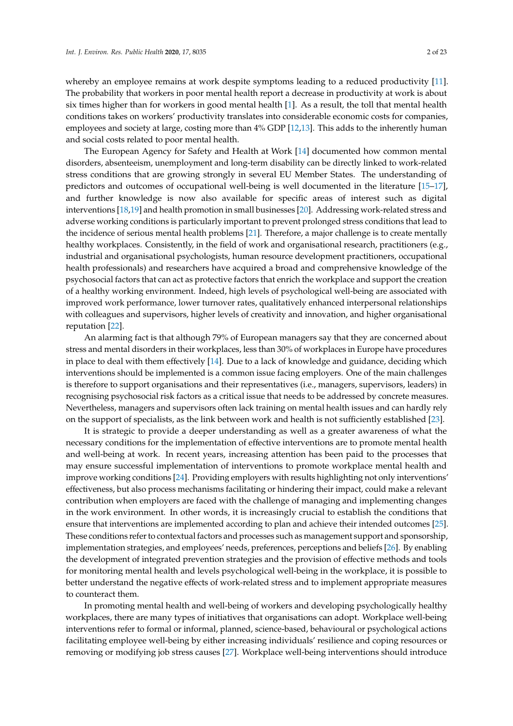whereby an employee remains at work despite symptoms leading to a reduced productivity [\[11\]](#page-17-3). The probability that workers in poor mental health report a decrease in productivity at work is about six times higher than for workers in good mental health [\[1\]](#page-16-0). As a result, the toll that mental health conditions takes on workers' productivity translates into considerable economic costs for companies, employees and society at large, costing more than 4% GDP [\[12,](#page-17-4)[13\]](#page-17-5). This adds to the inherently human and social costs related to poor mental health.

The European Agency for Safety and Health at Work [\[14\]](#page-17-6) documented how common mental disorders, absenteeism, unemployment and long-term disability can be directly linked to work-related stress conditions that are growing strongly in several EU Member States. The understanding of predictors and outcomes of occupational well-being is well documented in the literature [\[15](#page-17-7)[–17\]](#page-17-8), and further knowledge is now also available for specific areas of interest such as digital interventions [\[18](#page-17-9)[,19\]](#page-17-10) and health promotion in small businesses [\[20\]](#page-17-11). Addressing work-related stress and adverse working conditions is particularly important to prevent prolonged stress conditions that lead to the incidence of serious mental health problems [\[21\]](#page-17-12). Therefore, a major challenge is to create mentally healthy workplaces. Consistently, in the field of work and organisational research, practitioners (e.g., industrial and organisational psychologists, human resource development practitioners, occupational health professionals) and researchers have acquired a broad and comprehensive knowledge of the psychosocial factors that can act as protective factors that enrich the workplace and support the creation of a healthy working environment. Indeed, high levels of psychological well-being are associated with improved work performance, lower turnover rates, qualitatively enhanced interpersonal relationships with colleagues and supervisors, higher levels of creativity and innovation, and higher organisational reputation [\[22\]](#page-17-13).

An alarming fact is that although 79% of European managers say that they are concerned about stress and mental disorders in their workplaces, less than 30% of workplaces in Europe have procedures in place to deal with them effectively [\[14\]](#page-17-6). Due to a lack of knowledge and guidance, deciding which interventions should be implemented is a common issue facing employers. One of the main challenges is therefore to support organisations and their representatives (i.e., managers, supervisors, leaders) in recognising psychosocial risk factors as a critical issue that needs to be addressed by concrete measures. Nevertheless, managers and supervisors often lack training on mental health issues and can hardly rely on the support of specialists, as the link between work and health is not sufficiently established [\[23\]](#page-17-14).

It is strategic to provide a deeper understanding as well as a greater awareness of what the necessary conditions for the implementation of effective interventions are to promote mental health and well-being at work. In recent years, increasing attention has been paid to the processes that may ensure successful implementation of interventions to promote workplace mental health and improve working conditions [\[24\]](#page-17-15). Providing employers with results highlighting not only interventions' effectiveness, but also process mechanisms facilitating or hindering their impact, could make a relevant contribution when employers are faced with the challenge of managing and implementing changes in the work environment. In other words, it is increasingly crucial to establish the conditions that ensure that interventions are implemented according to plan and achieve their intended outcomes [\[25\]](#page-18-0). These conditions refer to contextual factors and processes such as management support and sponsorship, implementation strategies, and employees' needs, preferences, perceptions and beliefs [\[26\]](#page-18-1). By enabling the development of integrated prevention strategies and the provision of effective methods and tools for monitoring mental health and levels psychological well-being in the workplace, it is possible to better understand the negative effects of work-related stress and to implement appropriate measures to counteract them.

In promoting mental health and well-being of workers and developing psychologically healthy workplaces, there are many types of initiatives that organisations can adopt. Workplace well-being interventions refer to formal or informal, planned, science-based, behavioural or psychological actions facilitating employee well-being by either increasing individuals' resilience and coping resources or removing or modifying job stress causes [\[27\]](#page-18-2). Workplace well-being interventions should introduce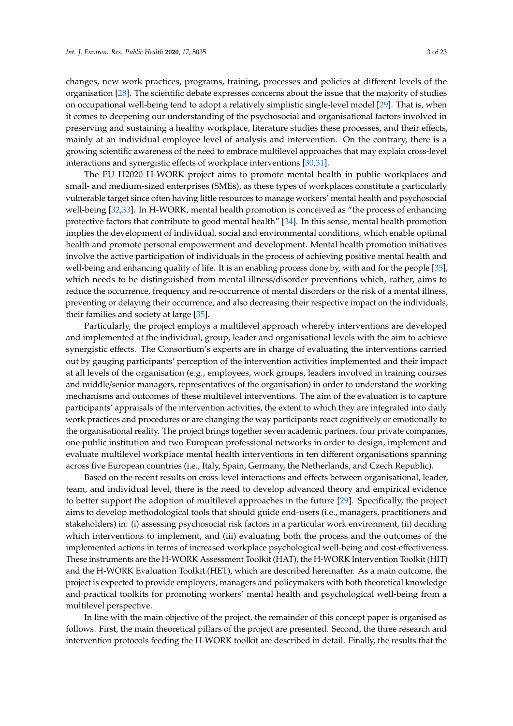changes, new work practices, programs, training, processes and policies at different levels of the organisation [\[28\]](#page-18-3). The scientific debate expresses concerns about the issue that the majority of studies on occupational well-being tend to adopt a relatively simplistic single-level model [\[29\]](#page-18-4). That is, when it comes to deepening our understanding of the psychosocial and organisational factors involved in preserving and sustaining a healthy workplace, literature studies these processes, and their effects, mainly at an individual employee level of analysis and intervention. On the contrary, there is a growing scientific awareness of the need to embrace multilevel approaches that may explain cross-level interactions and synergistic effects of workplace interventions [\[30,](#page-18-5)[31\]](#page-18-6).

The EU H2020 H-WORK project aims to promote mental health in public workplaces and small- and medium-sized enterprises (SMEs), as these types of workplaces constitute a particularly vulnerable target since often having little resources to manage workers' mental health and psychosocial well-being [\[32,](#page-18-7)[33\]](#page-18-8). In H-WORK, mental health promotion is conceived as "the process of enhancing protective factors that contribute to good mental health" [\[34\]](#page-18-9). In this sense, mental health promotion implies the development of individual, social and environmental conditions, which enable optimal health and promote personal empowerment and development. Mental health promotion initiatives involve the active participation of individuals in the process of achieving positive mental health and well-being and enhancing quality of life. It is an enabling process done by, with and for the people [\[35\]](#page-18-10), which needs to be distinguished from mental illness/disorder preventions which, rather, aims to reduce the occurrence, frequency and re-occurrence of mental disorders or the risk of a mental illness, preventing or delaying their occurrence, and also decreasing their respective impact on the individuals, their families and society at large [\[35\]](#page-18-10).

Particularly, the project employs a multilevel approach whereby interventions are developed and implemented at the individual, group, leader and organisational levels with the aim to achieve synergistic effects. The Consortium's experts are in charge of evaluating the interventions carried out by gauging participants' perception of the intervention activities implemented and their impact at all levels of the organisation (e.g., employees, work groups, leaders involved in training courses and middle/senior managers, representatives of the organisation) in order to understand the working mechanisms and outcomes of these multilevel interventions. The aim of the evaluation is to capture participants' appraisals of the intervention activities, the extent to which they are integrated into daily work practices and procedures or are changing the way participants react cognitively or emotionally to the organisational reality. The project brings together seven academic partners, four private companies, one public institution and two European professional networks in order to design, implement and evaluate multilevel workplace mental health interventions in ten different organisations spanning across five European countries (i.e., Italy, Spain, Germany, the Netherlands, and Czech Republic).

Based on the recent results on cross-level interactions and effects between organisational, leader, team, and individual level, there is the need to develop advanced theory and empirical evidence to better support the adoption of multilevel approaches in the future [\[29\]](#page-18-4). Specifically, the project aims to develop methodological tools that should guide end-users (i.e., managers, practitioners and stakeholders) in: (i) assessing psychosocial risk factors in a particular work environment, (ii) deciding which interventions to implement, and (iii) evaluating both the process and the outcomes of the implemented actions in terms of increased workplace psychological well-being and cost-effectiveness. These instruments are the H-WORK Assessment Toolkit (HAT), the H-WORK Intervention Toolkit (HIT) and the H-WORK Evaluation Toolkit (HET), which are described hereinafter. As a main outcome, the project is expected to provide employers, managers and policymakers with both theoretical knowledge and practical toolkits for promoting workers' mental health and psychological well-being from a multilevel perspective.

In line with the main objective of the project, the remainder of this concept paper is organised as follows. First, the main theoretical pillars of the project are presented. Second, the three research and intervention protocols feeding the H-WORK toolkit are described in detail. Finally, the results that the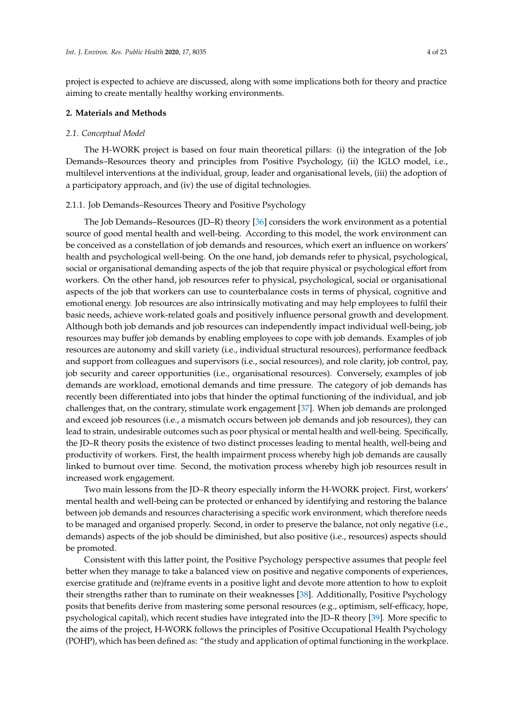project is expected to achieve are discussed, along with some implications both for theory and practice aiming to create mentally healthy working environments.

## **2. Materials and Methods**

### *2.1. Conceptual Model*

The H-WORK project is based on four main theoretical pillars: (i) the integration of the Job Demands–Resources theory and principles from Positive Psychology, (ii) the IGLO model, i.e., multilevel interventions at the individual, group, leader and organisational levels, (iii) the adoption of a participatory approach, and (iv) the use of digital technologies.

### 2.1.1. Job Demands–Resources Theory and Positive Psychology

The Job Demands–Resources (JD–R) theory [\[36\]](#page-18-11) considers the work environment as a potential source of good mental health and well-being. According to this model, the work environment can be conceived as a constellation of job demands and resources, which exert an influence on workers' health and psychological well-being. On the one hand, job demands refer to physical, psychological, social or organisational demanding aspects of the job that require physical or psychological effort from workers. On the other hand, job resources refer to physical, psychological, social or organisational aspects of the job that workers can use to counterbalance costs in terms of physical, cognitive and emotional energy. Job resources are also intrinsically motivating and may help employees to fulfil their basic needs, achieve work-related goals and positively influence personal growth and development. Although both job demands and job resources can independently impact individual well-being, job resources may buffer job demands by enabling employees to cope with job demands. Examples of job resources are autonomy and skill variety (i.e., individual structural resources), performance feedback and support from colleagues and supervisors (i.e., social resources), and role clarity, job control, pay, job security and career opportunities (i.e., organisational resources). Conversely, examples of job demands are workload, emotional demands and time pressure. The category of job demands has recently been differentiated into jobs that hinder the optimal functioning of the individual, and job challenges that, on the contrary, stimulate work engagement [\[37\]](#page-18-12). When job demands are prolonged and exceed job resources (i.e., a mismatch occurs between job demands and job resources), they can lead to strain, undesirable outcomes such as poor physical or mental health and well-being. Specifically, the JD–R theory posits the existence of two distinct processes leading to mental health, well-being and productivity of workers. First, the health impairment process whereby high job demands are causally linked to burnout over time. Second, the motivation process whereby high job resources result in increased work engagement.

Two main lessons from the JD–R theory especially inform the H-WORK project. First, workers' mental health and well-being can be protected or enhanced by identifying and restoring the balance between job demands and resources characterising a specific work environment, which therefore needs to be managed and organised properly. Second, in order to preserve the balance, not only negative (i.e., demands) aspects of the job should be diminished, but also positive (i.e., resources) aspects should be promoted.

Consistent with this latter point, the Positive Psychology perspective assumes that people feel better when they manage to take a balanced view on positive and negative components of experiences, exercise gratitude and (re)frame events in a positive light and devote more attention to how to exploit their strengths rather than to ruminate on their weaknesses [\[38\]](#page-18-13). Additionally, Positive Psychology posits that benefits derive from mastering some personal resources (e.g., optimism, self-efficacy, hope, psychological capital), which recent studies have integrated into the JD–R theory [\[39\]](#page-18-14). More specific to the aims of the project, H-WORK follows the principles of Positive Occupational Health Psychology (POHP), which has been defined as: "the study and application of optimal functioning in the workplace.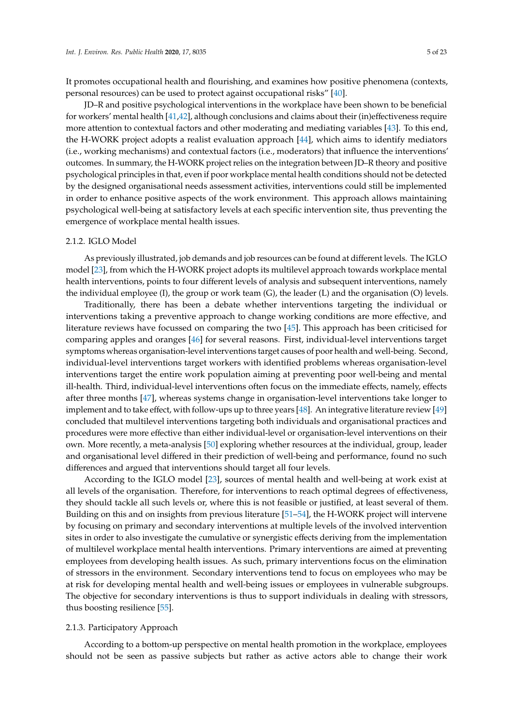It promotes occupational health and flourishing, and examines how positive phenomena (contexts, personal resources) can be used to protect against occupational risks" [\[40\]](#page-18-15).

JD–R and positive psychological interventions in the workplace have been shown to be beneficial for workers' mental health [\[41](#page-18-16)[,42\]](#page-18-17), although conclusions and claims about their (in)effectiveness require more attention to contextual factors and other moderating and mediating variables [\[43\]](#page-18-18). To this end, the H-WORK project adopts a realist evaluation approach [\[44\]](#page-18-19), which aims to identify mediators (i.e., working mechanisms) and contextual factors (i.e., moderators) that influence the interventions' outcomes. In summary, the H-WORK project relies on the integration between JD–R theory and positive psychological principles in that, even if poor workplace mental health conditions should not be detected by the designed organisational needs assessment activities, interventions could still be implemented in order to enhance positive aspects of the work environment. This approach allows maintaining psychological well-being at satisfactory levels at each specific intervention site, thus preventing the emergence of workplace mental health issues.

### 2.1.2. IGLO Model

As previously illustrated, job demands and job resources can be found at different levels. The IGLO model [\[23\]](#page-17-14), from which the H-WORK project adopts its multilevel approach towards workplace mental health interventions, points to four different levels of analysis and subsequent interventions, namely the individual employee (I), the group or work team (G), the leader (L) and the organisation (O) levels.

Traditionally, there has been a debate whether interventions targeting the individual or interventions taking a preventive approach to change working conditions are more effective, and literature reviews have focussed on comparing the two [\[45\]](#page-18-20). This approach has been criticised for comparing apples and oranges [\[46\]](#page-18-21) for several reasons. First, individual-level interventions target symptoms whereas organisation-level interventions target causes of poor health and well-being. Second, individual-level interventions target workers with identified problems whereas organisation-level interventions target the entire work population aiming at preventing poor well-being and mental ill-health. Third, individual-level interventions often focus on the immediate effects, namely, effects after three months [\[47\]](#page-18-22), whereas systems change in organisation-level interventions take longer to implement and to take effect, with follow-ups up to three years [\[48\]](#page-19-0). An integrative literature review [\[49\]](#page-19-1) concluded that multilevel interventions targeting both individuals and organisational practices and procedures were more effective than either individual-level or organisation-level interventions on their own. More recently, a meta-analysis [\[50\]](#page-19-2) exploring whether resources at the individual, group, leader and organisational level differed in their prediction of well-being and performance, found no such differences and argued that interventions should target all four levels.

According to the IGLO model [\[23\]](#page-17-14), sources of mental health and well-being at work exist at all levels of the organisation. Therefore, for interventions to reach optimal degrees of effectiveness, they should tackle all such levels or, where this is not feasible or justified, at least several of them. Building on this and on insights from previous literature [\[51](#page-19-3)[–54\]](#page-19-4), the H-WORK project will intervene by focusing on primary and secondary interventions at multiple levels of the involved intervention sites in order to also investigate the cumulative or synergistic effects deriving from the implementation of multilevel workplace mental health interventions. Primary interventions are aimed at preventing employees from developing health issues. As such, primary interventions focus on the elimination of stressors in the environment. Secondary interventions tend to focus on employees who may be at risk for developing mental health and well-being issues or employees in vulnerable subgroups. The objective for secondary interventions is thus to support individuals in dealing with stressors, thus boosting resilience [\[55\]](#page-19-5).

## 2.1.3. Participatory Approach

According to a bottom-up perspective on mental health promotion in the workplace, employees should not be seen as passive subjects but rather as active actors able to change their work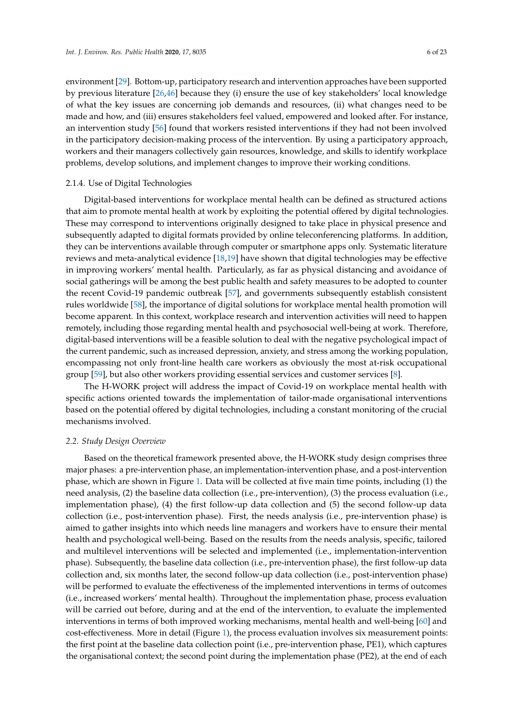environment [\[29\]](#page-18-4). Bottom-up, participatory research and intervention approaches have been supported by previous literature [\[26,](#page-18-1)[46\]](#page-18-21) because they (i) ensure the use of key stakeholders' local knowledge of what the key issues are concerning job demands and resources, (ii) what changes need to be made and how, and (iii) ensures stakeholders feel valued, empowered and looked after. For instance, an intervention study [\[56\]](#page-19-6) found that workers resisted interventions if they had not been involved in the participatory decision-making process of the intervention. By using a participatory approach, workers and their managers collectively gain resources, knowledge, and skills to identify workplace problems, develop solutions, and implement changes to improve their working conditions.

## 2.1.4. Use of Digital Technologies

Digital-based interventions for workplace mental health can be defined as structured actions that aim to promote mental health at work by exploiting the potential offered by digital technologies. These may correspond to interventions originally designed to take place in physical presence and subsequently adapted to digital formats provided by online teleconferencing platforms. In addition, they can be interventions available through computer or smartphone apps only. Systematic literature reviews and meta-analytical evidence [\[18](#page-17-9)[,19\]](#page-17-10) have shown that digital technologies may be effective in improving workers' mental health. Particularly, as far as physical distancing and avoidance of social gatherings will be among the best public health and safety measures to be adopted to counter the recent Covid-19 pandemic outbreak [\[57\]](#page-19-7), and governments subsequently establish consistent rules worldwide [\[58\]](#page-19-8), the importance of digital solutions for workplace mental health promotion will become apparent. In this context, workplace research and intervention activities will need to happen remotely, including those regarding mental health and psychosocial well-being at work. Therefore, digital-based interventions will be a feasible solution to deal with the negative psychological impact of the current pandemic, such as increased depression, anxiety, and stress among the working population, encompassing not only front-line health care workers as obviously the most at-risk occupational group [\[59\]](#page-19-9), but also other workers providing essential services and customer services [\[8\]](#page-17-1).

The H-WORK project will address the impact of Covid-19 on workplace mental health with specific actions oriented towards the implementation of tailor-made organisational interventions based on the potential offered by digital technologies, including a constant monitoring of the crucial mechanisms involved.

## *2.2. Study Design Overview*

Based on the theoretical framework presented above, the H-WORK study design comprises three major phases: a pre-intervention phase, an implementation-intervention phase, and a post-intervention phase, which are shown in Figure [1.](#page-6-0) Data will be collected at five main time points, including (1) the need analysis, (2) the baseline data collection (i.e., pre-intervention), (3) the process evaluation (i.e., implementation phase), (4) the first follow-up data collection and (5) the second follow-up data collection (i.e., post-intervention phase). First, the needs analysis (i.e., pre-intervention phase) is aimed to gather insights into which needs line managers and workers have to ensure their mental health and psychological well-being. Based on the results from the needs analysis, specific, tailored and multilevel interventions will be selected and implemented (i.e., implementation-intervention phase). Subsequently, the baseline data collection (i.e., pre-intervention phase), the first follow-up data collection and, six months later, the second follow-up data collection (i.e., post-intervention phase) will be performed to evaluate the effectiveness of the implemented interventions in terms of outcomes (i.e., increased workers' mental health). Throughout the implementation phase, process evaluation will be carried out before, during and at the end of the intervention, to evaluate the implemented interventions in terms of both improved working mechanisms, mental health and well-being [\[60\]](#page-19-10) and cost-effectiveness. More in detail (Figure [1\)](#page-6-0), the process evaluation involves six measurement points: the first point at the baseline data collection point (i.e., pre-intervention phase, PE1), which captures the organisational context; the second point during the implementation phase (PE2), at the end of each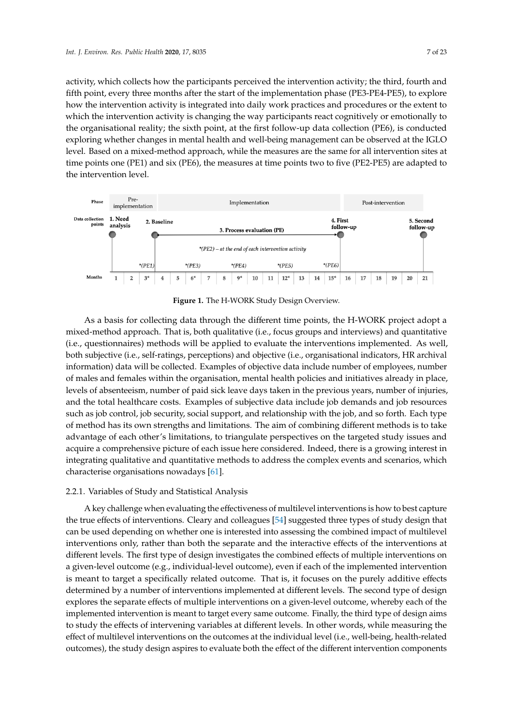activity, which collects how the participants perceived the intervention activity; the third, fourth and fifth point, every three months after the start of the implementation phase (PE3-PE4-PE5), to explore how the intervention activity is integrated into daily work practices and procedures or the extent to which the intervention activity is changing the way participants react cognitively or emotionally to the organisational reality; the sixth point, at the first follow-up data collection (PE6), is conducted exploring whether changes in mental health and well-being management can be observed at the IGLO level. Based on a mixed-method approach, while the measures are the same for all intervention sites at time points one (PE1) and six (PE6), the measures at time points two to five (PE2-PE5) are adapted to the intervention level.  $\frac{1}{\sqrt{2\pi}}$  the intervention level.

<span id="page-6-0"></span>

**Figure 1.** The H-WORK Study Design Overview. **Figure 1.** The H-WORK Study Design Overview.

As a basis for collecting data through the different time points, the H-WORK project adopt a As a basis for collecting data through the different time points, the H-WORK project adopt a mixed-method approach. That is, both qualitative (i.e., focus groups and interviews) and quantitative mixed-method approach. That is, both qualitative (i.e., focus groups and interviews) and quantitative (i.e., questionnaires) methods will be applied to evaluate the interventions implemented. As well, (i.e., questionnaires) methods will be applied to evaluate the interventions implemented. As well, both subjective (i.e., self-ratings, perceptions) and objective (i.e., organisational indicators, HR both subjective (i.e., self-ratings, perceptions) and objective (i.e., organisational indicators, HR archival information) data will be collected. Examples of objective data include number of employees, number of males and females within the organisation, mental health policies and initiatives already in place, levels of absenteeism, number of paid sick leave days taken in the previous years, number of injuries, and the total healthcare costs. Examples of subjective data include job demands and job resources such as job control, job security, social support, and relationship with the job, and so forth. Each type of method has its own strengths and limitations. The aim of combining different methods is to take advantage of each other's limitations, to triangulate perspectives on the targeted study issues and acquire a comprehensive picture of each issue here considered. Indeed, there is a growing interest in integrating qualitative and quantitative methods to address the complex events and scenarios, which characterise organisations nowadays [\[61\]](#page-19-11).

## 2.2.1. Variables of Study and Statistical Analysis 2.2.1. Variables of Study and Statistical Analysis

A key challenge when evaluating the effectiveness of multilevel interventions is how to best A key challenge when evaluating the effectiveness of multilevel interventions is how to best capture the true effects of interventions. Cleary and colleagues [\[54\]](#page-19-4) suggested three types of study design that can be used depending on whether one is interested into assessing the combined impact of multilevel interventions only, rather than both the separate and the interactive effects of the interventions at different levels. The first type of design investigates the combined effects of multiple interventions on interventions on a given-level outcome (e.g., individual-level outcome), even if each of the a given-level outcome (e.g., individual-level outcome), even if each of the implemented intervention is meant to target a specifically related outcome. That is, it focuses on the purely additive effects determined by a number of interventions implemented at different levels. The second type of design explores the separate effects of multiple interventions on a given-level outcome, whereby each of the implemented intervention is meant to target every same outcome. Finally, the third type of design aims to study the effects of intervening variables at different levels. In other words, while measuring the effect of multilevel interventions on the outcomes at the individual level (i.e., well-being, health-related outcomes), the study design aspires to evaluate both the effect of the different intervention components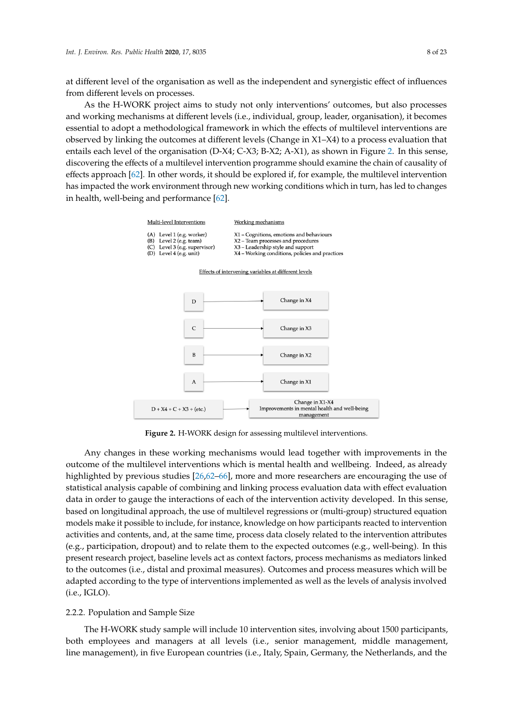at different level of the organisation as well as the independent and synergistic effect of influences from different levels on processes.

As the H-WORK project aims to study not only interventions' outcomes, but also processes and working mechanisms at different levels (i.e., individual, group, leader, organisation), it becomes essential to adopt a methodological framework in which the effects of multilevel interventions are observed by linking the outcomes at different levels (Change in X1-X4) to a process evaluation that entails each level of the organisation (D-X4; C-X3; B-X2; A-X1), as shown in Figure [2.](#page-7-0) In this sense, discovering the effects of a multilevel intervention programme should examine the chain of causality of effects approach [\[62\]](#page-19-12). In other words, it should be explored if, for example, the multilevel intervention intervention through new working conditions which in turn, has led to changes has impacted the work environment through new working conditions which in turn, has led to changes in health, well-being and performance [\[62\]](#page-19-12). of effects and the contract state of the multiple should be explored in the multiple in the multiple state of the multiple has impacted the work environment through healthcare working conditions.

<span id="page-7-0"></span>

**Figure 2.** H-WORK design for assessing multilevel interventions.

outcome of the multilevel interventions which is mental health and wellbeing. Indeed, as already highlighted by previous studies [\[26,](#page-18-1)[62](#page-19-12)[–66\]](#page-19-13), more and more researchers are encouraging the use of statistical analysis capable of combining and linking process evaluation data with effect evaluation data in order to gauge the interactions of each of the intervention activity developed. In this sense, based on longitudinal approach, the use of multilevel regressions or (multi-group) structured equation models make it possible to include, for instance, knowledge on how participants reacted to intervention activities and contents, and, at the same time, process data closely related to the intervention attributes (e.g., participation, dropout) and to relate them to the expected outcomes (e.g., well-being). In this present research project, baseline levels act as context factors, process mechanisms as mediators linked to the outcomes (i.e., distal and proximal measures). Outcomes and process measures which will be adapted according to the type of interventions implemented as well as the levels of analysis involved  $(i.e., IGLO)$ . Any changes in these working mechanisms would lead together with improvements in the (i.e., IGLO).

### 2.2.2. Population and Sample Size

The H-WORK study sample will include 10 intervention sites, involving about 1500 participants, both employees and managers at all levels (i.e., senior management, middle management, line management), in five European countries (i.e., Italy, Spain, Germany, the Netherlands, and the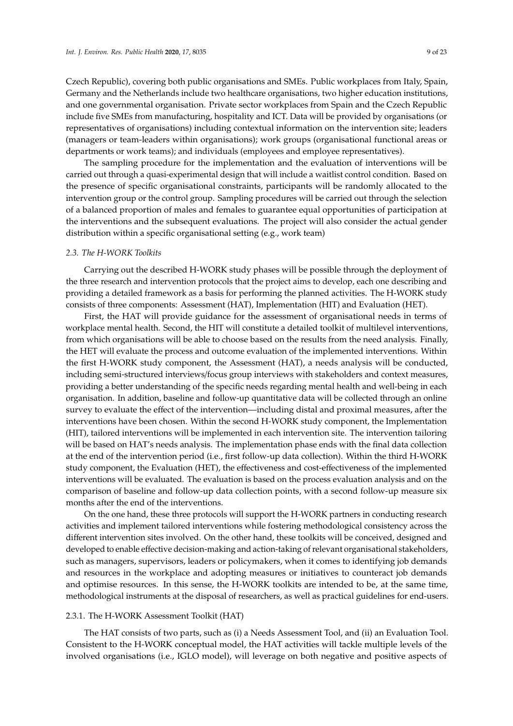Czech Republic), covering both public organisations and SMEs. Public workplaces from Italy, Spain, Germany and the Netherlands include two healthcare organisations, two higher education institutions, and one governmental organisation. Private sector workplaces from Spain and the Czech Republic include five SMEs from manufacturing, hospitality and ICT. Data will be provided by organisations (or representatives of organisations) including contextual information on the intervention site; leaders (managers or team-leaders within organisations); work groups (organisational functional areas or departments or work teams); and individuals (employees and employee representatives).

The sampling procedure for the implementation and the evaluation of interventions will be carried out through a quasi-experimental design that will include a waitlist control condition. Based on the presence of specific organisational constraints, participants will be randomly allocated to the intervention group or the control group. Sampling procedures will be carried out through the selection of a balanced proportion of males and females to guarantee equal opportunities of participation at the interventions and the subsequent evaluations. The project will also consider the actual gender distribution within a specific organisational setting (e.g., work team)

### *2.3. The H-WORK Toolkits*

Carrying out the described H-WORK study phases will be possible through the deployment of the three research and intervention protocols that the project aims to develop, each one describing and providing a detailed framework as a basis for performing the planned activities. The H-WORK study consists of three components: Assessment (HAT), Implementation (HIT) and Evaluation (HET).

First, the HAT will provide guidance for the assessment of organisational needs in terms of workplace mental health. Second, the HIT will constitute a detailed toolkit of multilevel interventions, from which organisations will be able to choose based on the results from the need analysis. Finally, the HET will evaluate the process and outcome evaluation of the implemented interventions. Within the first H-WORK study component, the Assessment (HAT), a needs analysis will be conducted, including semi-structured interviews/focus group interviews with stakeholders and context measures, providing a better understanding of the specific needs regarding mental health and well-being in each organisation. In addition, baseline and follow-up quantitative data will be collected through an online survey to evaluate the effect of the intervention—including distal and proximal measures, after the interventions have been chosen. Within the second H-WORK study component, the Implementation (HIT), tailored interventions will be implemented in each intervention site. The intervention tailoring will be based on HAT's needs analysis. The implementation phase ends with the final data collection at the end of the intervention period (i.e., first follow-up data collection). Within the third H-WORK study component, the Evaluation (HET), the effectiveness and cost-effectiveness of the implemented interventions will be evaluated. The evaluation is based on the process evaluation analysis and on the comparison of baseline and follow-up data collection points, with a second follow-up measure six months after the end of the interventions.

On the one hand, these three protocols will support the H-WORK partners in conducting research activities and implement tailored interventions while fostering methodological consistency across the different intervention sites involved. On the other hand, these toolkits will be conceived, designed and developed to enable effective decision-making and action-taking of relevant organisational stakeholders, such as managers, supervisors, leaders or policymakers, when it comes to identifying job demands and resources in the workplace and adopting measures or initiatives to counteract job demands and optimise resources. In this sense, the H-WORK toolkits are intended to be, at the same time, methodological instruments at the disposal of researchers, as well as practical guidelines for end-users.

### 2.3.1. The H-WORK Assessment Toolkit (HAT)

The HAT consists of two parts, such as (i) a Needs Assessment Tool, and (ii) an Evaluation Tool. Consistent to the H-WORK conceptual model, the HAT activities will tackle multiple levels of the involved organisations (i.e., IGLO model), will leverage on both negative and positive aspects of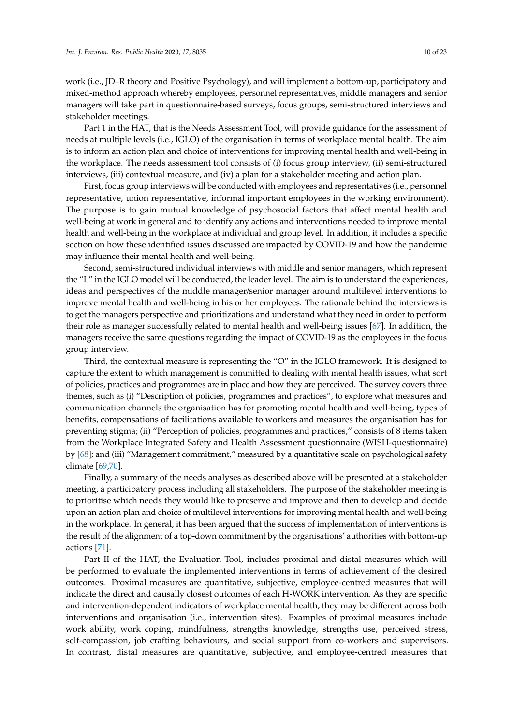work (i.e., JD–R theory and Positive Psychology), and will implement a bottom-up, participatory and mixed-method approach whereby employees, personnel representatives, middle managers and senior managers will take part in questionnaire-based surveys, focus groups, semi-structured interviews and stakeholder meetings.

Part 1 in the HAT, that is the Needs Assessment Tool, will provide guidance for the assessment of needs at multiple levels (i.e., IGLO) of the organisation in terms of workplace mental health. The aim is to inform an action plan and choice of interventions for improving mental health and well-being in the workplace. The needs assessment tool consists of (i) focus group interview, (ii) semi-structured interviews, (iii) contextual measure, and (iv) a plan for a stakeholder meeting and action plan.

First, focus group interviews will be conducted with employees and representatives (i.e., personnel representative, union representative, informal important employees in the working environment). The purpose is to gain mutual knowledge of psychosocial factors that affect mental health and well-being at work in general and to identify any actions and interventions needed to improve mental health and well-being in the workplace at individual and group level. In addition, it includes a specific section on how these identified issues discussed are impacted by COVID-19 and how the pandemic may influence their mental health and well-being.

Second, semi-structured individual interviews with middle and senior managers, which represent the "L" in the IGLO model will be conducted, the leader level. The aim is to understand the experiences, ideas and perspectives of the middle manager/senior manager around multilevel interventions to improve mental health and well-being in his or her employees. The rationale behind the interviews is to get the managers perspective and prioritizations and understand what they need in order to perform their role as manager successfully related to mental health and well-being issues [\[67\]](#page-19-14). In addition, the managers receive the same questions regarding the impact of COVID-19 as the employees in the focus group interview.

Third, the contextual measure is representing the "O" in the IGLO framework. It is designed to capture the extent to which management is committed to dealing with mental health issues, what sort of policies, practices and programmes are in place and how they are perceived. The survey covers three themes, such as (i) "Description of policies, programmes and practices", to explore what measures and communication channels the organisation has for promoting mental health and well-being, types of benefits, compensations of facilitations available to workers and measures the organisation has for preventing stigma; (ii) "Perception of policies, programmes and practices," consists of 8 items taken from the Workplace Integrated Safety and Health Assessment questionnaire (WISH-questionnaire) by [\[68\]](#page-20-0); and (iii) "Management commitment," measured by a quantitative scale on psychological safety climate [\[69](#page-20-1)[,70\]](#page-20-2).

Finally, a summary of the needs analyses as described above will be presented at a stakeholder meeting, a participatory process including all stakeholders. The purpose of the stakeholder meeting is to prioritise which needs they would like to preserve and improve and then to develop and decide upon an action plan and choice of multilevel interventions for improving mental health and well-being in the workplace. In general, it has been argued that the success of implementation of interventions is the result of the alignment of a top-down commitment by the organisations' authorities with bottom-up actions [\[71\]](#page-20-3).

Part II of the HAT, the Evaluation Tool, includes proximal and distal measures which will be performed to evaluate the implemented interventions in terms of achievement of the desired outcomes. Proximal measures are quantitative, subjective, employee-centred measures that will indicate the direct and causally closest outcomes of each H-WORK intervention. As they are specific and intervention-dependent indicators of workplace mental health, they may be different across both interventions and organisation (i.e., intervention sites). Examples of proximal measures include work ability, work coping, mindfulness, strengths knowledge, strengths use, perceived stress, self-compassion, job crafting behaviours, and social support from co-workers and supervisors. In contrast, distal measures are quantitative, subjective, and employee-centred measures that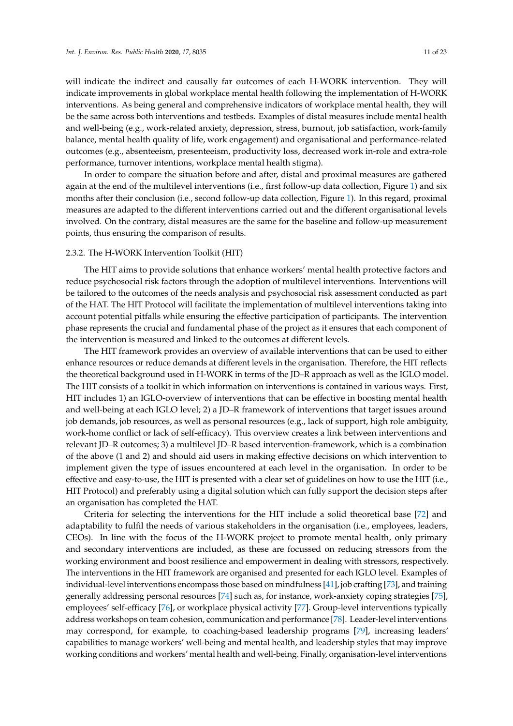will indicate the indirect and causally far outcomes of each H-WORK intervention. They will indicate improvements in global workplace mental health following the implementation of H-WORK interventions. As being general and comprehensive indicators of workplace mental health, they will be the same across both interventions and testbeds. Examples of distal measures include mental health and well-being (e.g., work-related anxiety, depression, stress, burnout, job satisfaction, work-family balance, mental health quality of life, work engagement) and organisational and performance-related outcomes (e.g., absenteeism, presenteeism, productivity loss, decreased work in-role and extra-role performance, turnover intentions, workplace mental health stigma).

In order to compare the situation before and after, distal and proximal measures are gathered again at the end of the multilevel interventions (i.e., first follow-up data collection, Figure [1\)](#page-6-0) and six months after their conclusion (i.e., second follow-up data collection, Figure [1\)](#page-6-0). In this regard, proximal measures are adapted to the different interventions carried out and the different organisational levels involved. On the contrary, distal measures are the same for the baseline and follow-up measurement points, thus ensuring the comparison of results.

#### 2.3.2. The H-WORK Intervention Toolkit (HIT)

The HIT aims to provide solutions that enhance workers' mental health protective factors and reduce psychosocial risk factors through the adoption of multilevel interventions. Interventions will be tailored to the outcomes of the needs analysis and psychosocial risk assessment conducted as part of the HAT. The HIT Protocol will facilitate the implementation of multilevel interventions taking into account potential pitfalls while ensuring the effective participation of participants. The intervention phase represents the crucial and fundamental phase of the project as it ensures that each component of the intervention is measured and linked to the outcomes at different levels.

The HIT framework provides an overview of available interventions that can be used to either enhance resources or reduce demands at different levels in the organisation. Therefore, the HIT reflects the theoretical background used in H-WORK in terms of the JD–R approach as well as the IGLO model. The HIT consists of a toolkit in which information on interventions is contained in various ways. First, HIT includes 1) an IGLO-overview of interventions that can be effective in boosting mental health and well-being at each IGLO level; 2) a JD–R framework of interventions that target issues around job demands, job resources, as well as personal resources (e.g., lack of support, high role ambiguity, work-home conflict or lack of self-efficacy). This overview creates a link between interventions and relevant JD–R outcomes; 3) a multilevel JD–R based intervention-framework, which is a combination of the above (1 and 2) and should aid users in making effective decisions on which intervention to implement given the type of issues encountered at each level in the organisation. In order to be effective and easy-to-use, the HIT is presented with a clear set of guidelines on how to use the HIT (i.e., HIT Protocol) and preferably using a digital solution which can fully support the decision steps after an organisation has completed the HAT.

Criteria for selecting the interventions for the HIT include a solid theoretical base [\[72\]](#page-20-4) and adaptability to fulfil the needs of various stakeholders in the organisation (i.e., employees, leaders, CEOs). In line with the focus of the H-WORK project to promote mental health, only primary and secondary interventions are included, as these are focussed on reducing stressors from the working environment and boost resilience and empowerment in dealing with stressors, respectively. The interventions in the HIT framework are organised and presented for each IGLO level. Examples of individual-level interventions encompass those based on mindfulness [\[41\]](#page-18-16), job crafting [\[73\]](#page-20-5), and training generally addressing personal resources [\[74\]](#page-20-6) such as, for instance, work-anxiety coping strategies [\[75\]](#page-20-7), employees' self-efficacy [\[76\]](#page-20-8), or workplace physical activity [\[77\]](#page-20-9). Group-level interventions typically address workshops on team cohesion, communication and performance [\[78\]](#page-20-10). Leader-level interventions may correspond, for example, to coaching-based leadership programs [\[79\]](#page-20-11), increasing leaders' capabilities to manage workers' well-being and mental health, and leadership styles that may improve working conditions and workers' mental health and well-being. Finally, organisation-level interventions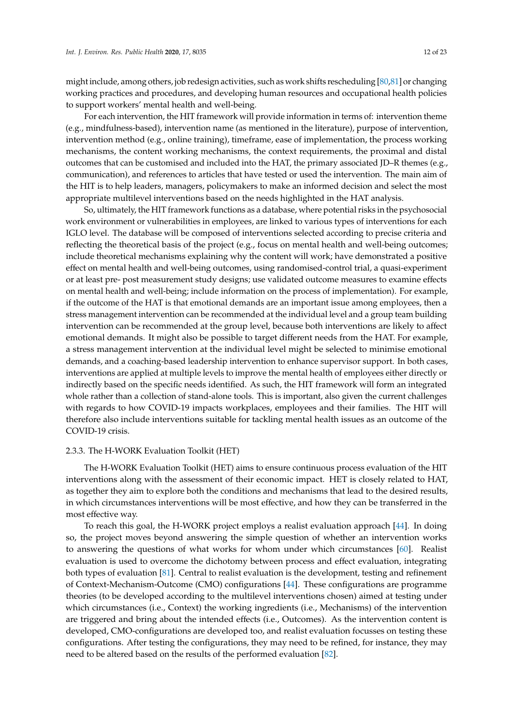might include, among others, job redesign activities, such as work shifts rescheduling [\[80](#page-20-12)[,81\]](#page-20-13) or changing working practices and procedures, and developing human resources and occupational health policies to support workers' mental health and well-being.

For each intervention, the HIT framework will provide information in terms of: intervention theme (e.g., mindfulness-based), intervention name (as mentioned in the literature), purpose of intervention, intervention method (e.g., online training), timeframe, ease of implementation, the process working mechanisms, the content working mechanisms, the context requirements, the proximal and distal outcomes that can be customised and included into the HAT, the primary associated JD–R themes (e.g., communication), and references to articles that have tested or used the intervention. The main aim of the HIT is to help leaders, managers, policymakers to make an informed decision and select the most appropriate multilevel interventions based on the needs highlighted in the HAT analysis.

So, ultimately, the HIT framework functions as a database, where potential risks in the psychosocial work environment or vulnerabilities in employees, are linked to various types of interventions for each IGLO level. The database will be composed of interventions selected according to precise criteria and reflecting the theoretical basis of the project (e.g., focus on mental health and well-being outcomes; include theoretical mechanisms explaining why the content will work; have demonstrated a positive effect on mental health and well-being outcomes, using randomised-control trial, a quasi-experiment or at least pre- post measurement study designs; use validated outcome measures to examine effects on mental health and well-being; include information on the process of implementation). For example, if the outcome of the HAT is that emotional demands are an important issue among employees, then a stress management intervention can be recommended at the individual level and a group team building intervention can be recommended at the group level, because both interventions are likely to affect emotional demands. It might also be possible to target different needs from the HAT. For example, a stress management intervention at the individual level might be selected to minimise emotional demands, and a coaching-based leadership intervention to enhance supervisor support. In both cases, interventions are applied at multiple levels to improve the mental health of employees either directly or indirectly based on the specific needs identified. As such, the HIT framework will form an integrated whole rather than a collection of stand-alone tools. This is important, also given the current challenges with regards to how COVID-19 impacts workplaces, employees and their families. The HIT will therefore also include interventions suitable for tackling mental health issues as an outcome of the COVID-19 crisis.

## 2.3.3. The H-WORK Evaluation Toolkit (HET)

The H-WORK Evaluation Toolkit (HET) aims to ensure continuous process evaluation of the HIT interventions along with the assessment of their economic impact. HET is closely related to HAT, as together they aim to explore both the conditions and mechanisms that lead to the desired results, in which circumstances interventions will be most effective, and how they can be transferred in the most effective way.

To reach this goal, the H-WORK project employs a realist evaluation approach [\[44\]](#page-18-19). In doing so, the project moves beyond answering the simple question of whether an intervention works to answering the questions of what works for whom under which circumstances [\[60\]](#page-19-10). Realist evaluation is used to overcome the dichotomy between process and effect evaluation, integrating both types of evaluation [\[81\]](#page-20-13). Central to realist evaluation is the development, testing and refinement of Context-Mechanism-Outcome (CMO) configurations [\[44\]](#page-18-19). These configurations are programme theories (to be developed according to the multilevel interventions chosen) aimed at testing under which circumstances (i.e., Context) the working ingredients (i.e., Mechanisms) of the intervention are triggered and bring about the intended effects (i.e., Outcomes). As the intervention content is developed, CMO-configurations are developed too, and realist evaluation focusses on testing these configurations. After testing the configurations, they may need to be refined, for instance, they may need to be altered based on the results of the performed evaluation [\[82\]](#page-20-14).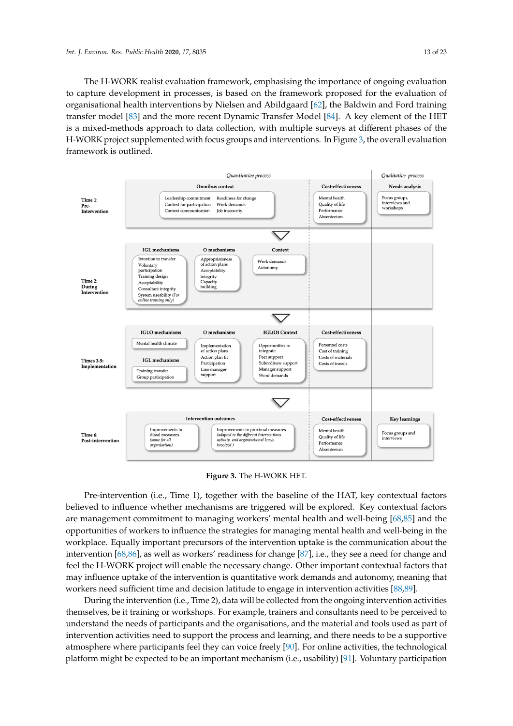The H-WORK realist evaluation framework, emphasising the importance of ongoing evaluation to capture development in processes, is based on the framework proposed for the evaluation of organisational health interventions by Nielsen and Abildgaard [\[62\]](#page-19-12), the Baldwin and Ford training transfer model [\[83\]](#page-20-15) and the more recent Dynamic Transfer Model [\[84\]](#page-20-16). A key element of the HET is a mixed-methods approach to data collection, with multiple surveys at different phases of the H-WORK project supplemented with focus groups and interventions. In Figure [3,](#page-12-0) the overall evaluation framework is outlined.

<span id="page-12-0"></span>

**Figure 3.** The H-WORK HET. **Figure 3.** The H-WORK HET.

Pre-intervention (i.e., Time 1), together with the baseline of the HAT, key contextual factors Pre-intervention (i.e., Time 1), together with the baseline of the HAT, key contextual factors believed to influence whether mechanisms are triggered will be explored. Key contextual factors are management commitment to managing workers' mental health and well-being [68,8[5\]](#page-20-0) [and](#page-20-17) the opportunities of workers to influence the strategies for managing mental health and well-being in the opportunities of workers to influence the strategies for managing mental health and well-being in the workplace. Equally important precursors of the intervention uptake is the communication about the workplace. Equally important precursors of the intervention uptake is the communication about the intervention [68,86], as well as workers' readiness for change [87], i.e., they see a need for change and intervention [\[68,](#page-20-0)[86\]](#page-20-18), as well as workers' readiness for change [\[87\]](#page-20-19), i.e., they see a need for change and feel the H-WORK project will enable the necessary change. Other important contextual factors that feel the H-WORK project will enable the necessary change. Other important contextual factors that  $m_{\rm H}$  influence up take of the intervention is quantitative work demands and autonomy, meaning that  $\alpha$ may influence uptake of the intervention is quantitative work demands and autonomy, meaning that may increase that workers need sufficient time and decision latitude to engage in intervention activities [\[88](#page-20-20)[,89\]](#page-21-0).

During the intervention (i.e., Time 2), data will be collected from the ongoing intervention activities themselves, be it training or workshops. For example, trainers and consultants need to be perceived to understand the needs of participants and the organisations, and the material and tools used as part of intervention activities need to support the process and learning, and there needs to be a supportive atmosphere where participants feel they can voice freely [90]. For online activities, the technological platform might be expected to be a[n im](#page-21-2)portant mechanism (i.e., usability) [91]. Voluntary participation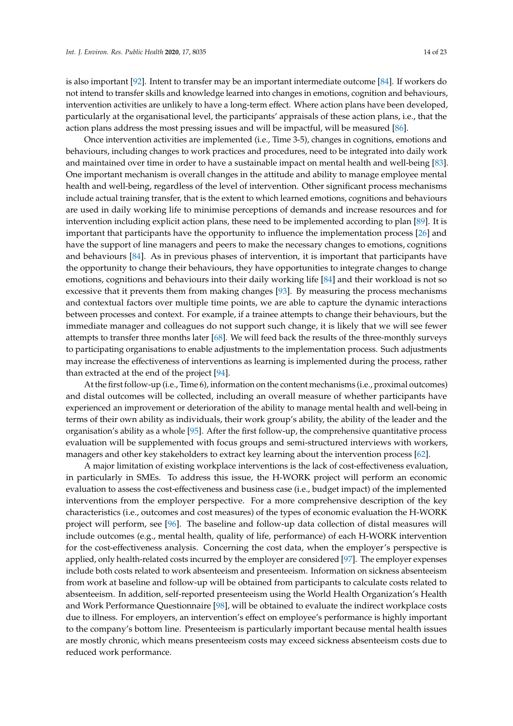is also important [\[92\]](#page-21-3). Intent to transfer may be an important intermediate outcome [\[84\]](#page-20-16). If workers do not intend to transfer skills and knowledge learned into changes in emotions, cognition and behaviours, intervention activities are unlikely to have a long-term effect. Where action plans have been developed, particularly at the organisational level, the participants' appraisals of these action plans, i.e., that the action plans address the most pressing issues and will be impactful, will be measured [\[86\]](#page-20-18).

Once intervention activities are implemented (i.e., Time 3-5), changes in cognitions, emotions and behaviours, including changes to work practices and procedures, need to be integrated into daily work and maintained over time in order to have a sustainable impact on mental health and well-being [\[83\]](#page-20-15). One important mechanism is overall changes in the attitude and ability to manage employee mental health and well-being, regardless of the level of intervention. Other significant process mechanisms include actual training transfer, that is the extent to which learned emotions, cognitions and behaviours are used in daily working life to minimise perceptions of demands and increase resources and for intervention including explicit action plans, these need to be implemented according to plan [\[89\]](#page-21-0). It is important that participants have the opportunity to influence the implementation process [\[26\]](#page-18-1) and have the support of line managers and peers to make the necessary changes to emotions, cognitions and behaviours [\[84\]](#page-20-16). As in previous phases of intervention, it is important that participants have the opportunity to change their behaviours, they have opportunities to integrate changes to change emotions, cognitions and behaviours into their daily working life [\[84\]](#page-20-16) and their workload is not so excessive that it prevents them from making changes [\[93\]](#page-21-4). By measuring the process mechanisms and contextual factors over multiple time points, we are able to capture the dynamic interactions between processes and context. For example, if a trainee attempts to change their behaviours, but the immediate manager and colleagues do not support such change, it is likely that we will see fewer attempts to transfer three months later [\[68\]](#page-20-0). We will feed back the results of the three-monthly surveys to participating organisations to enable adjustments to the implementation process. Such adjustments may increase the effectiveness of interventions as learning is implemented during the process, rather than extracted at the end of the project [\[94\]](#page-21-5).

At the first follow-up (i.e., Time 6), information on the content mechanisms (i.e., proximal outcomes) and distal outcomes will be collected, including an overall measure of whether participants have experienced an improvement or deterioration of the ability to manage mental health and well-being in terms of their own ability as individuals, their work group's ability, the ability of the leader and the organisation's ability as a whole [\[95\]](#page-21-6). After the first follow-up, the comprehensive quantitative process evaluation will be supplemented with focus groups and semi-structured interviews with workers, managers and other key stakeholders to extract key learning about the intervention process [\[62\]](#page-19-12).

A major limitation of existing workplace interventions is the lack of cost-effectiveness evaluation, in particularly in SMEs. To address this issue, the H-WORK project will perform an economic evaluation to assess the cost-effectiveness and business case (i.e., budget impact) of the implemented interventions from the employer perspective. For a more comprehensive description of the key characteristics (i.e., outcomes and cost measures) of the types of economic evaluation the H-WORK project will perform, see [\[96\]](#page-21-7). The baseline and follow-up data collection of distal measures will include outcomes (e.g., mental health, quality of life, performance) of each H-WORK intervention for the cost-effectiveness analysis. Concerning the cost data, when the employer's perspective is applied, only health-related costs incurred by the employer are considered [\[97\]](#page-21-8). The employer expenses include both costs related to work absenteeism and presenteeism. Information on sickness absenteeism from work at baseline and follow-up will be obtained from participants to calculate costs related to absenteeism. In addition, self-reported presenteeism using the World Health Organization's Health and Work Performance Questionnaire [\[98\]](#page-21-9), will be obtained to evaluate the indirect workplace costs due to illness. For employers, an intervention's effect on employee's performance is highly important to the company's bottom line. Presenteeism is particularly important because mental health issues are mostly chronic, which means presenteeism costs may exceed sickness absenteeism costs due to reduced work performance.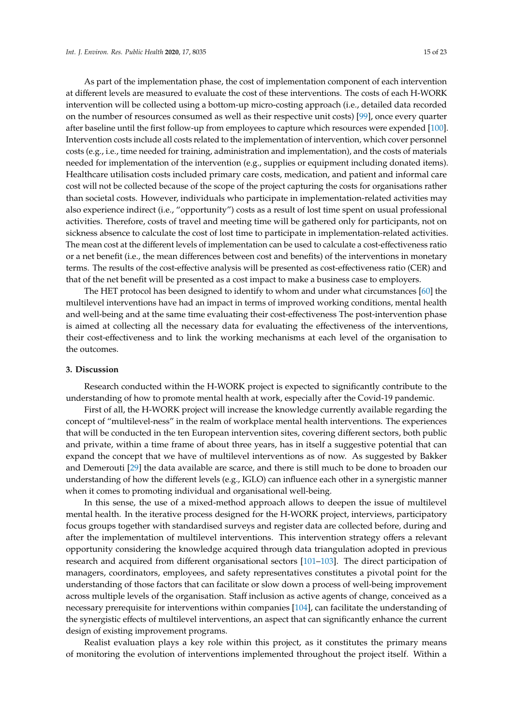As part of the implementation phase, the cost of implementation component of each intervention at different levels are measured to evaluate the cost of these interventions. The costs of each H-WORK intervention will be collected using a bottom-up micro-costing approach (i.e., detailed data recorded on the number of resources consumed as well as their respective unit costs) [\[99\]](#page-21-10), once every quarter after baseline until the first follow-up from employees to capture which resources were expended [\[100\]](#page-21-11). Intervention costs include all costs related to the implementation of intervention, which cover personnel costs (e.g., i.e., time needed for training, administration and implementation), and the costs of materials needed for implementation of the intervention (e.g., supplies or equipment including donated items). Healthcare utilisation costs included primary care costs, medication, and patient and informal care cost will not be collected because of the scope of the project capturing the costs for organisations rather than societal costs. However, individuals who participate in implementation-related activities may also experience indirect (i.e., "opportunity") costs as a result of lost time spent on usual professional activities. Therefore, costs of travel and meeting time will be gathered only for participants, not on sickness absence to calculate the cost of lost time to participate in implementation-related activities. The mean cost at the different levels of implementation can be used to calculate a cost-effectiveness ratio or a net benefit (i.e., the mean differences between cost and benefits) of the interventions in monetary terms. The results of the cost-effective analysis will be presented as cost-effectiveness ratio (CER) and that of the net benefit will be presented as a cost impact to make a business case to employers.

The HET protocol has been designed to identify to whom and under what circumstances [\[60\]](#page-19-10) the multilevel interventions have had an impact in terms of improved working conditions, mental health and well-being and at the same time evaluating their cost-effectiveness The post-intervention phase is aimed at collecting all the necessary data for evaluating the effectiveness of the interventions, their cost-effectiveness and to link the working mechanisms at each level of the organisation to the outcomes.

### **3. Discussion**

Research conducted within the H-WORK project is expected to significantly contribute to the understanding of how to promote mental health at work, especially after the Covid-19 pandemic.

First of all, the H-WORK project will increase the knowledge currently available regarding the concept of "multilevel-ness" in the realm of workplace mental health interventions. The experiences that will be conducted in the ten European intervention sites, covering different sectors, both public and private, within a time frame of about three years, has in itself a suggestive potential that can expand the concept that we have of multilevel interventions as of now. As suggested by Bakker and Demerouti [\[29\]](#page-18-4) the data available are scarce, and there is still much to be done to broaden our understanding of how the different levels (e.g., IGLO) can influence each other in a synergistic manner when it comes to promoting individual and organisational well-being.

In this sense, the use of a mixed-method approach allows to deepen the issue of multilevel mental health. In the iterative process designed for the H-WORK project, interviews, participatory focus groups together with standardised surveys and register data are collected before, during and after the implementation of multilevel interventions. This intervention strategy offers a relevant opportunity considering the knowledge acquired through data triangulation adopted in previous research and acquired from different organisational sectors [\[101](#page-21-12)[–103\]](#page-21-13). The direct participation of managers, coordinators, employees, and safety representatives constitutes a pivotal point for the understanding of those factors that can facilitate or slow down a process of well-being improvement across multiple levels of the organisation. Staff inclusion as active agents of change, conceived as a necessary prerequisite for interventions within companies [\[104\]](#page-21-14), can facilitate the understanding of the synergistic effects of multilevel interventions, an aspect that can significantly enhance the current design of existing improvement programs.

Realist evaluation plays a key role within this project, as it constitutes the primary means of monitoring the evolution of interventions implemented throughout the project itself. Within a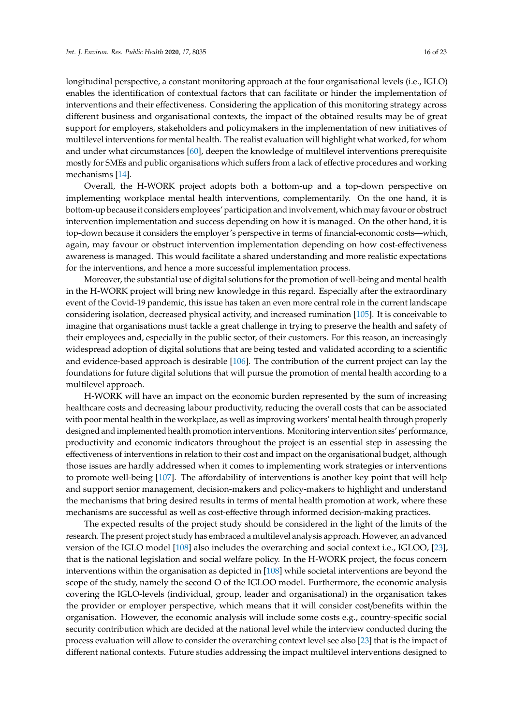longitudinal perspective, a constant monitoring approach at the four organisational levels (i.e., IGLO) enables the identification of contextual factors that can facilitate or hinder the implementation of interventions and their effectiveness. Considering the application of this monitoring strategy across different business and organisational contexts, the impact of the obtained results may be of great support for employers, stakeholders and policymakers in the implementation of new initiatives of multilevel interventions for mental health. The realist evaluation will highlight what worked, for whom and under what circumstances [\[60\]](#page-19-10), deepen the knowledge of multilevel interventions prerequisite mostly for SMEs and public organisations which suffers from a lack of effective procedures and working mechanisms [\[14\]](#page-17-6).

Overall, the H-WORK project adopts both a bottom-up and a top-down perspective on implementing workplace mental health interventions, complementarily. On the one hand, it is bottom-up because it considers employees' participation and involvement, which may favour or obstruct intervention implementation and success depending on how it is managed. On the other hand, it is top-down because it considers the employer's perspective in terms of financial-economic costs—which, again, may favour or obstruct intervention implementation depending on how cost-effectiveness awareness is managed. This would facilitate a shared understanding and more realistic expectations for the interventions, and hence a more successful implementation process.

Moreover, the substantial use of digital solutions for the promotion of well-being and mental health in the H-WORK project will bring new knowledge in this regard. Especially after the extraordinary event of the Covid-19 pandemic, this issue has taken an even more central role in the current landscape considering isolation, decreased physical activity, and increased rumination [\[105\]](#page-21-15). It is conceivable to imagine that organisations must tackle a great challenge in trying to preserve the health and safety of their employees and, especially in the public sector, of their customers. For this reason, an increasingly widespread adoption of digital solutions that are being tested and validated according to a scientific and evidence-based approach is desirable [\[106\]](#page-21-16). The contribution of the current project can lay the foundations for future digital solutions that will pursue the promotion of mental health according to a multilevel approach.

H-WORK will have an impact on the economic burden represented by the sum of increasing healthcare costs and decreasing labour productivity, reducing the overall costs that can be associated with poor mental health in the workplace, as well as improving workers' mental health through properly designed and implemented health promotion interventions. Monitoring intervention sites' performance, productivity and economic indicators throughout the project is an essential step in assessing the effectiveness of interventions in relation to their cost and impact on the organisational budget, although those issues are hardly addressed when it comes to implementing work strategies or interventions to promote well-being [\[107\]](#page-22-0). The affordability of interventions is another key point that will help and support senior management, decision-makers and policy-makers to highlight and understand the mechanisms that bring desired results in terms of mental health promotion at work, where these mechanisms are successful as well as cost-effective through informed decision-making practices.

The expected results of the project study should be considered in the light of the limits of the research. The present project study has embraced a multilevel analysis approach. However, an advanced version of the IGLO model [\[108\]](#page-22-1) also includes the overarching and social context i.e., IGLOO, [\[23\]](#page-17-14), that is the national legislation and social welfare policy. In the H-WORK project, the focus concern interventions within the organisation as depicted in [\[108\]](#page-22-1) while societal interventions are beyond the scope of the study, namely the second O of the IGLOO model. Furthermore, the economic analysis covering the IGLO-levels (individual, group, leader and organisational) in the organisation takes the provider or employer perspective, which means that it will consider cost/benefits within the organisation. However, the economic analysis will include some costs e.g., country-specific social security contribution which are decided at the national level while the interview conducted during the process evaluation will allow to consider the overarching context level see also [\[23\]](#page-17-14) that is the impact of different national contexts. Future studies addressing the impact multilevel interventions designed to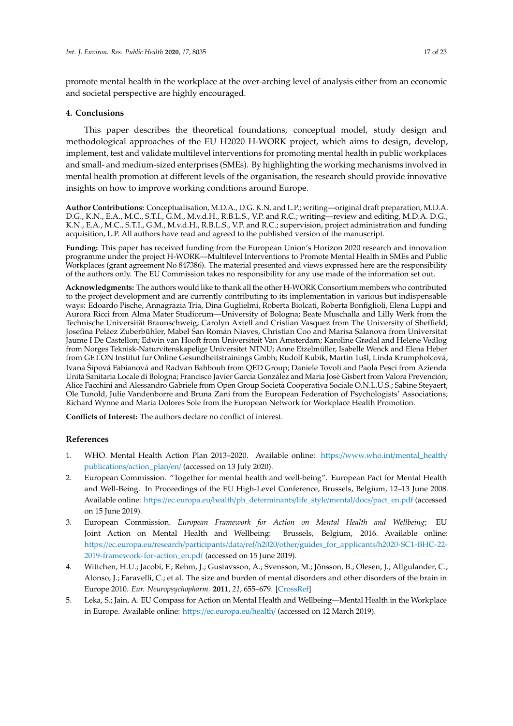promote mental health in the workplace at the over-arching level of analysis either from an economic and societal perspective are highly encouraged.

## **4. Conclusions**

This paper describes the theoretical foundations, conceptual model, study design and methodological approaches of the EU H2020 H-WORK project, which aims to design, develop, implement, test and validate multilevel interventions for promoting mental health in public workplaces and small- and medium-sized enterprises (SMEs). By highlighting the working mechanisms involved in mental health promotion at different levels of the organisation, the research should provide innovative insights on how to improve working conditions around Europe.

**Author Contributions:** Conceptualisation, M.D.A., D.G. K.N. and L.P.; writing—original draft preparation, M.D.A. D.G., K.N., E.A., M.C., S.T.I., G.M., M.v.d.H., R.B.L.S., V.P. and R.C.; writing—review and editing, M.D.A. D.G., K.N., E.A., M.C., S.T.I., G.M., M.v.d.H., R.B.L.S., V.P. and R.C.; supervision, project administration and funding acquisition, L.P. All authors have read and agreed to the published version of the manuscript.

**Funding:** This paper has received funding from the European Union's Horizon 2020 research and innovation programme under the project H-WORK—Multilevel Interventions to Promote Mental Health in SMEs and Public Workplaces (grant agreement No 847386). The material presented and views expressed here are the responsibility of the authors only. The EU Commission takes no responsibility for any use made of the information set out.

**Acknowledgments:** The authors would like to thank all the other H-WORK Consortium members who contributed to the project development and are currently contributing to its implementation in various but indispensable ways: Edoardo Pische, Annagrazia Tria, Dina Guglielmi, Roberta Biolcati, Roberta Bonfiglioli, Elena Luppi and Aurora Ricci from Alma Mater Studiorum—University of Bologna; Beate Muschalla and Lilly Werk from the Technische Universität Braunschweig; Carolyn Axtell and Cristian Vasquez from The University of Sheffield; Josefina Peláez Zuberbühler, Mabel San Román Niaves, Christian Coo and Marisa Salanova from Universitat Jaume I De Castellon; Edwin van Hooft from Universiteit Van Amsterdam; Karoline Grødal and Helene Vedlog from Norges Teknisk-Naturvitenskapelige Universitet NTNU; Anne Etzelmüller, Isabelle Wenck and Elena Heber from GET.ON Institut fur Online Gesundheitstrainings Gmbh; Rudolf Kubík, Martin Tušl, Linda Krumpholcová, Ivana Šípová Fabianová and Radvan Bahbouh from QED Group; Daniele Tovoli and Paola Pesci from Azienda Unità Sanitaria Locale di Bologna; Francisco Javier García González and Maria Josè Gisbert from Valora Prevención; Alice Facchini and Alessandro Gabriele from Open Group Società Cooperativa Sociale O.N.L.U.S.; Sabine Steyaert, Ole Tunold, Julie Vandenborre and Bruna Zani from the European Federation of Psychologists' Associations; Richard Wynne and Maria Dolores Sole from the European Network for Workplace Health Promotion.

**Conflicts of Interest:** The authors declare no conflict of interest.

## **References**

- <span id="page-16-0"></span>1. WHO. Mental Health Action Plan 2013–2020. Available online: https://www.who.int/[mental\\_health](https://www.who.int/mental_health/publications/action_plan/en/)/ [publications](https://www.who.int/mental_health/publications/action_plan/en/)/action\_plan/en/ (accessed on 13 July 2020).
- 2. European Commission. "Together for mental health and well-being". European Pact for Mental Health and Well-Being. In Proceedings of the EU High-Level Conference, Brussels, Belgium, 12–13 June 2008. Available online: https://ec.europa.eu/health/[ph\\_determinants](https://ec.europa.eu/health/ph_determinants/life_style/mental/docs/pact_en.pdf)/life\_style/mental/docs/pact\_en.pdf (accessed on 15 June 2019).
- <span id="page-16-1"></span>3. European Commission. *European Framework for Action on Mental Health and Wellbeing*; EU Joint Action on Mental Health and Wellbeing: Brussels, Belgium, 2016. Available online: https://ec.europa.eu/research/participants/data/ref/h2020/other/[guides\\_for\\_applicants](https://ec.europa.eu/research/participants/data/ref/h2020/other/guides_for_applicants/h2020-SC1-BHC-22-2019-framework-for-action_en.pdf)/h2020-SC1-BHC-22- [2019-framework-for-action\\_en.pdf](https://ec.europa.eu/research/participants/data/ref/h2020/other/guides_for_applicants/h2020-SC1-BHC-22-2019-framework-for-action_en.pdf) (accessed on 15 June 2019).
- <span id="page-16-2"></span>4. Wittchen, H.U.; Jacobi, F.; Rehm, J.; Gustavsson, A.; Svensson, M.; Jönsson, B.; Olesen, J.; Allgulander, C.; Alonso, J.; Faravelli, C.; et al. The size and burden of mental disorders and other disorders of the brain in Europe 2010. *Eur. Neuropsychopharm.* **2011**, *21*, 655–679. [\[CrossRef\]](http://dx.doi.org/10.1016/j.euroneuro.2011.07.018)
- <span id="page-16-3"></span>5. Leka, S.; Jain, A. EU Compass for Action on Mental Health and Wellbeing—Mental Health in the Workplace in Europe. Available online: https://[ec.europa.eu](https://ec.europa.eu/health/)/health/ (accessed on 12 March 2019).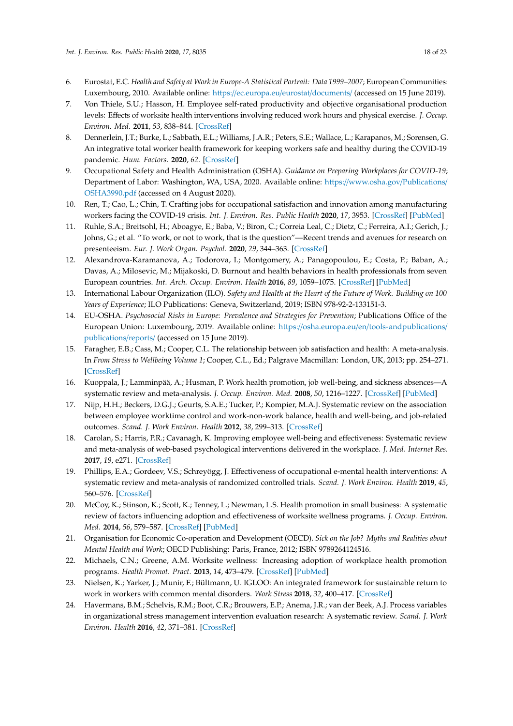- 6. Eurostat, E.C. *Health and Safety at Work in Europe-A Statistical Portrait: Data 1999–2007*; European Communities: Luxembourg, 2010. Available online: https://[ec.europa.eu](https://ec.europa.eu/eurostat/documents/)/eurostat/documents/ (accessed on 15 June 2019).
- <span id="page-17-0"></span>7. Von Thiele, S.U.; Hasson, H. Employee self-rated productivity and objective organisational production levels: Effects of worksite health interventions involving reduced work hours and physical exercise. *J. Occup. Environ. Med.* **2011**, *53*, 838–844. [\[CrossRef\]](http://dx.doi.org/10.1097/JOM.0b013e31822589c2)
- <span id="page-17-1"></span>8. Dennerlein, J.T.; Burke, L.; Sabbath, E.L.; Williams, J.A.R.; Peters, S.E.; Wallace, L.; Karapanos, M.; Sorensen, G. An integrative total worker health framework for keeping workers safe and healthy during the COVID-19 pandemic. *Hum. Factors.* **2020**, *62*. [\[CrossRef\]](http://dx.doi.org/10.1177/0018720820932699)
- 9. Occupational Safety and Health Administration (OSHA). *Guidance on Preparing Workplaces for COVID-19*; Department of Labor: Washington, WA, USA, 2020. Available online: https://[www.osha.gov](https://www.osha.gov/Publications/OSHA3990.pdf)/Publications/ [OSHA3990.pdf](https://www.osha.gov/Publications/OSHA3990.pdf) (accessed on 4 August 2020).
- <span id="page-17-2"></span>10. Ren, T.; Cao, L.; Chin, T. Crafting jobs for occupational satisfaction and innovation among manufacturing workers facing the COVID-19 crisis. *Int. J. Environ. Res. Public Health* **2020**, *17*, 3953. [\[CrossRef\]](http://dx.doi.org/10.3390/ijerph17113953) [\[PubMed\]](http://www.ncbi.nlm.nih.gov/pubmed/32503169)
- <span id="page-17-3"></span>11. Ruhle, S.A.; Breitsohl, H.; Aboagye, E.; Baba, V.; Biron, C.; Correia Leal, C.; Dietz, C.; Ferreira, A.I.; Gerich, J.; Johns, G.; et al. "To work, or not to work, that is the question"—Recent trends and avenues for research on presenteeism. *Eur. J. Work Organ. Psychol.* **2020**, *29*, 344–363. [\[CrossRef\]](http://dx.doi.org/10.1080/1359432X.2019.1704734)
- <span id="page-17-4"></span>12. Alexandrova-Karamanova, A.; Todorova, I.; Montgomery, A.; Panagopoulou, E.; Costa, P.; Baban, A.; Davas, A.; Milosevic, M.; Mijakoski, D. Burnout and health behaviors in health professionals from seven European countries. *Int. Arch. Occup. Environ. Health* **2016**, *89*, 1059–1075. [\[CrossRef\]](http://dx.doi.org/10.1007/s00420-016-1143-5) [\[PubMed\]](http://www.ncbi.nlm.nih.gov/pubmed/27251338)
- <span id="page-17-5"></span>13. International Labour Organization (ILO). *Safety and Health at the Heart of the Future of Work. Building on 100 Years of Experience*; ILO Publications: Geneva, Switzerland, 2019; ISBN 978-92-2-133151-3.
- <span id="page-17-6"></span>14. EU-OSHA. *Psychosocial Risks in Europe: Prevalence and Strategies for Prevention*; Publications Office of the European Union: Luxembourg, 2019. Available online: https://osha.europa.eu/en/[tools-andpublications](https://osha.europa.eu/en/tools-andpublications/publications/reports/)/ [publications](https://osha.europa.eu/en/tools-andpublications/publications/reports/)/reports/ (accessed on 15 June 2019).
- <span id="page-17-7"></span>15. Faragher, E.B.; Cass, M.; Cooper, C.L. The relationship between job satisfaction and health: A meta-analysis. In *From Stress to Wellbeing Volume 1*; Cooper, C.L., Ed.; Palgrave Macmillan: London, UK, 2013; pp. 254–271. [\[CrossRef\]](http://dx.doi.org/10.1057/9781137310651_12)
- 16. Kuoppala, J.; Lamminpää, A.; Husman, P. Work health promotion, job well-being, and sickness absences—A systematic review and meta-analysis. *J. Occup. Environ. Med.* **2008**, *50*, 1216–1227. [\[CrossRef\]](http://dx.doi.org/10.1097/JOM.0b013e31818dbf92) [\[PubMed\]](http://www.ncbi.nlm.nih.gov/pubmed/19001948)
- <span id="page-17-8"></span>17. Nijp, H.H.; Beckers, D.G.J.; Geurts, S.A.E.; Tucker, P.; Kompier, M.A.J. Systematic review on the association between employee worktime control and work-non-work balance, health and well-being, and job-related outcomes. *Scand. J. Work Environ. Health* **2012**, *38*, 299–313. [\[CrossRef\]](http://dx.doi.org/10.5271/sjweh.3307)
- <span id="page-17-9"></span>18. Carolan, S.; Harris, P.R.; Cavanagh, K. Improving employee well-being and effectiveness: Systematic review and meta-analysis of web-based psychological interventions delivered in the workplace. *J. Med. Internet Res.* **2017**, *19*, e271. [\[CrossRef\]](http://dx.doi.org/10.2196/jmir.7583)
- <span id="page-17-10"></span>19. Phillips, E.A.; Gordeev, V.S.; Schreyögg, J. Effectiveness of occupational e-mental health interventions: A systematic review and meta-analysis of randomized controlled trials. *Scand. J. Work Environ. Health* **2019**, *45*, 560–576. [\[CrossRef\]](http://dx.doi.org/10.5271/sjweh.3839)
- <span id="page-17-11"></span>20. McCoy, K.; Stinson, K.; Scott, K.; Tenney, L.; Newman, L.S. Health promotion in small business: A systematic review of factors influencing adoption and effectiveness of worksite wellness programs. *J. Occup. Environ. Med.* **2014**, *56*, 579–587. [\[CrossRef\]](http://dx.doi.org/10.1097/JOM.0000000000000171) [\[PubMed\]](http://www.ncbi.nlm.nih.gov/pubmed/24905421)
- <span id="page-17-12"></span>21. Organisation for Economic Co-operation and Development (OECD). *Sick on the Job? Myths and Realities about Mental Health and Work*; OECD Publishing: Paris, France, 2012; ISBN 9789264124516.
- <span id="page-17-13"></span>22. Michaels, C.N.; Greene, A.M. Worksite wellness: Increasing adoption of workplace health promotion programs. *Health Promot. Pract.* **2013**, *14*, 473–479. [\[CrossRef\]](http://dx.doi.org/10.1177/1524839913480800) [\[PubMed\]](http://www.ncbi.nlm.nih.gov/pubmed/23545334)
- <span id="page-17-14"></span>23. Nielsen, K.; Yarker, J.; Munir, F.; Bültmann, U. IGLOO: An integrated framework for sustainable return to work in workers with common mental disorders. *Work Stress* **2018**, *32*, 400–417. [\[CrossRef\]](http://dx.doi.org/10.1080/02678373.2018.1438536)
- <span id="page-17-15"></span>24. Havermans, B.M.; Schelvis, R.M.; Boot, C.R.; Brouwers, E.P.; Anema, J.R.; van der Beek, A.J. Process variables in organizational stress management intervention evaluation research: A systematic review. *Scand. J. Work Environ. Health* **2016**, *42*, 371–381. [\[CrossRef\]](http://dx.doi.org/10.5271/sjweh.3570)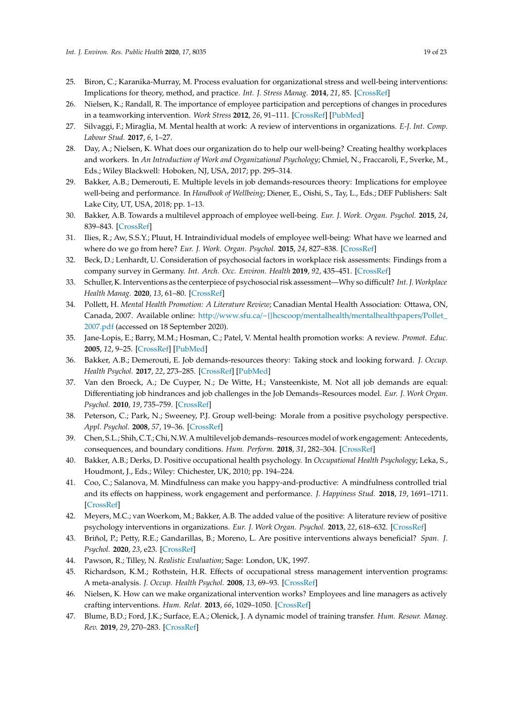- <span id="page-18-0"></span>25. Biron, C.; Karanika-Murray, M. Process evaluation for organizational stress and well-being interventions: Implications for theory, method, and practice. *Int. J. Stress Manag.* **2014**, *21*, 85. [\[CrossRef\]](http://dx.doi.org/10.1037/a0033227)
- <span id="page-18-1"></span>26. Nielsen, K.; Randall, R. The importance of employee participation and perceptions of changes in procedures in a teamworking intervention. *Work Stress* **2012**, *26*, 91–111. [\[CrossRef\]](http://dx.doi.org/10.1080/02678373.2012.682721) [\[PubMed\]](http://www.ncbi.nlm.nih.gov/pubmed/22745519)
- <span id="page-18-2"></span>27. Silvaggi, F.; Miraglia, M. Mental health at work: A review of interventions in organizations. *E-J. Int. Comp. Labour Stud.* **2017**, *6*, 1–27.
- <span id="page-18-3"></span>28. Day, A.; Nielsen, K. What does our organization do to help our well-being? Creating healthy workplaces and workers. In *An Introduction of Work and Organizational Psychology*; Chmiel, N., Fraccaroli, F., Sverke, M., Eds.; Wiley Blackwell: Hoboken, NJ, USA, 2017; pp. 295–314.
- <span id="page-18-4"></span>29. Bakker, A.B.; Demerouti, E. Multiple levels in job demands-resources theory: Implications for employee well-being and performance. In *Handbook of Wellbeing*; Diener, E., Oishi, S., Tay, L., Eds.; DEF Publishers: Salt Lake City, UT, USA, 2018; pp. 1–13.
- <span id="page-18-5"></span>30. Bakker, A.B. Towards a multilevel approach of employee well-being. *Eur. J. Work. Organ. Psychol.* **2015**, *24*, 839–843. [\[CrossRef\]](http://dx.doi.org/10.1080/1359432X.2015.1071423)
- <span id="page-18-6"></span>31. Ilies, R.; Aw, S.S.Y.; Pluut, H. Intraindividual models of employee well-being: What have we learned and where do we go from here? *Eur. J. Work. Organ. Psychol.* **2015**, *24*, 827–838. [\[CrossRef\]](http://dx.doi.org/10.1080/1359432X.2015.1071422)
- <span id="page-18-7"></span>32. Beck, D.; Lenhardt, U. Consideration of psychosocial factors in workplace risk assessments: Findings from a company survey in Germany. *Int. Arch. Occ. Environ. Health* **2019**, *92*, 435–451. [\[CrossRef\]](http://dx.doi.org/10.1007/s00420-019-01416-5)
- <span id="page-18-8"></span>33. Schuller, K. Interventions as the centerpiece of psychosocial risk assessment—Why so difficult? *Int. J. Workplace Health Manag.* **2020**, *13*, 61–80. [\[CrossRef\]](http://dx.doi.org/10.1108/IJWHM-07-2018-0098)
- <span id="page-18-9"></span>34. Pollett, H. *Mental Health Promotion: A Literature Review*; Canadian Mental Health Association: Ottawa, ON, Canada, 2007. Available online: http://www.sfu.ca/~{}hcscoop/mentalhealth/[mentalhealthpapers](http://www.sfu.ca/~{}hcscoop/mentalhealth/mentalhealthpapers/Pollet_2007.pdf)/Pollet\_ [2007.pdf](http://www.sfu.ca/~{}hcscoop/mentalhealth/mentalhealthpapers/Pollet_2007.pdf) (accessed on 18 September 2020).
- <span id="page-18-10"></span>35. Jane-Lopis, E.; Barry, M.M.; Hosman, C.; Patel, V. Mental health promotion works: A review. *Promot. Educ.* **2005**, *12*, 9–25. [\[CrossRef\]](http://dx.doi.org/10.1177/10253823050120020103x) [\[PubMed\]](http://www.ncbi.nlm.nih.gov/pubmed/15966248)
- <span id="page-18-11"></span>36. Bakker, A.B.; Demerouti, E. Job demands-resources theory: Taking stock and looking forward. *J. Occup. Health Psychol.* **2017**, *22*, 273–285. [\[CrossRef\]](http://dx.doi.org/10.1037/ocp0000056) [\[PubMed\]](http://www.ncbi.nlm.nih.gov/pubmed/27732008)
- <span id="page-18-12"></span>37. Van den Broeck, A.; De Cuyper, N.; De Witte, H.; Vansteenkiste, M. Not all job demands are equal: Differentiating job hindrances and job challenges in the Job Demands–Resources model. *Eur. J. Work Organ. Psychol.* **2010**, *19*, 735–759. [\[CrossRef\]](http://dx.doi.org/10.1080/13594320903223839)
- <span id="page-18-13"></span>38. Peterson, C.; Park, N.; Sweeney, P.J. Group well-being: Morale from a positive psychology perspective. *Appl. Psychol.* **2008**, *57*, 19–36. [\[CrossRef\]](http://dx.doi.org/10.1111/j.1464-0597.2008.00352.x)
- <span id="page-18-14"></span>39. Chen, S.L.; Shih, C.T.; Chi, N.W. A multilevel job demands–resources model of work engagement: Antecedents, consequences, and boundary conditions. *Hum. Perform.* **2018**, *31*, 282–304. [\[CrossRef\]](http://dx.doi.org/10.1080/08959285.2018.1531867)
- <span id="page-18-15"></span>40. Bakker, A.B.; Derks, D. Positive occupational health psychology. In *Occupational Health Psychology*; Leka, S., Houdmont, J., Eds.; Wiley: Chichester, UK, 2010; pp. 194–224.
- <span id="page-18-16"></span>41. Coo, C.; Salanova, M. Mindfulness can make you happy-and-productive: A mindfulness controlled trial and its effects on happiness, work engagement and performance. *J. Happiness Stud.* **2018**, *19*, 1691–1711. [\[CrossRef\]](http://dx.doi.org/10.1007/s10902-017-9892-8)
- <span id="page-18-17"></span>42. Meyers, M.C.; van Woerkom, M.; Bakker, A.B. The added value of the positive: A literature review of positive psychology interventions in organizations. *Eur. J. Work Organ. Psychol.* **2013**, *22*, 618–632. [\[CrossRef\]](http://dx.doi.org/10.1080/1359432X.2012.694689)
- <span id="page-18-18"></span>43. Briñol, P.; Petty, R.E.; Gandarillas, B.; Moreno, L. Are positive interventions always beneficial? *Span. J. Psychol.* **2020**, *23*, e23. [\[CrossRef\]](http://dx.doi.org/10.1017/SJP.2020.21)
- <span id="page-18-19"></span>44. Pawson, R.; Tilley, N. *Realistic Evaluation*; Sage: London, UK, 1997.
- <span id="page-18-20"></span>45. Richardson, K.M.; Rothstein, H.R. Effects of occupational stress management intervention programs: A meta-analysis. *J. Occup. Health Psychol.* **2008**, *13*, 69–93. [\[CrossRef\]](http://dx.doi.org/10.1037/1076-8998.13.1.69)
- <span id="page-18-21"></span>46. Nielsen, K. How can we make organizational intervention works? Employees and line managers as actively crafting interventions. *Hum. Relat.* **2013**, *66*, 1029–1050. [\[CrossRef\]](http://dx.doi.org/10.1177/0018726713477164)
- <span id="page-18-22"></span>47. Blume, B.D.; Ford, J.K.; Surface, E.A.; Olenick, J. A dynamic model of training transfer. *Hum. Resour. Manag. Rev.* **2019**, *29*, 270–283. [\[CrossRef\]](http://dx.doi.org/10.1016/j.hrmr.2017.11.004)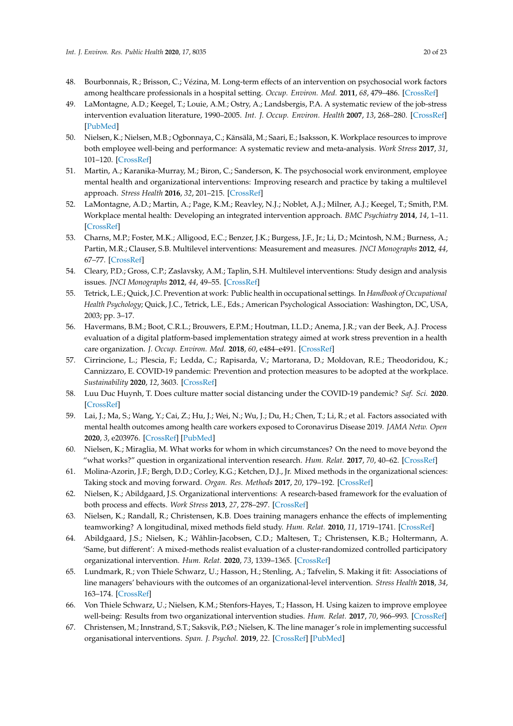- <span id="page-19-0"></span>48. Bourbonnais, R.; Brisson, C.; Vézina, M. Long-term effects of an intervention on psychosocial work factors among healthcare professionals in a hospital setting. *Occup. Environ. Med.* **2011**, *68*, 479–486. [\[CrossRef\]](http://dx.doi.org/10.1136/oem.2010.055202)
- <span id="page-19-1"></span>49. LaMontagne, A.D.; Keegel, T.; Louie, A.M.; Ostry, A.; Landsbergis, P.A. A systematic review of the job-stress intervention evaluation literature, 1990–2005. *Int. J. Occup. Environ. Health* **2007**, *13*, 268–280. [\[CrossRef\]](http://dx.doi.org/10.1179/oeh.2007.13.3.268) [\[PubMed\]](http://www.ncbi.nlm.nih.gov/pubmed/17915541)
- <span id="page-19-2"></span>50. Nielsen, K.; Nielsen, M.B.; Ogbonnaya, C.; Känsälä, M.; Saari, E.; Isaksson, K. Workplace resources to improve both employee well-being and performance: A systematic review and meta-analysis. *Work Stress* **2017**, *31*, 101–120. [\[CrossRef\]](http://dx.doi.org/10.1080/02678373.2017.1304463)
- <span id="page-19-3"></span>51. Martin, A.; Karanika-Murray, M.; Biron, C.; Sanderson, K. The psychosocial work environment, employee mental health and organizational interventions: Improving research and practice by taking a multilevel approach. *Stress Health* **2016**, *32*, 201–215. [\[CrossRef\]](http://dx.doi.org/10.1002/smi.2593)
- 52. LaMontagne, A.D.; Martin, A.; Page, K.M.; Reavley, N.J.; Noblet, A.J.; Milner, A.J.; Keegel, T.; Smith, P.M. Workplace mental health: Developing an integrated intervention approach. *BMC Psychiatry* **2014**, *14*, 1–11. [\[CrossRef\]](http://dx.doi.org/10.1186/1471-244X-14-131)
- 53. Charns, M.P.; Foster, M.K.; Alligood, E.C.; Benzer, J.K.; Burgess, J.F., Jr.; Li, D.; Mcintosh, N.M.; Burness, A.; Partin, M.R.; Clauser, S.B. Multilevel interventions: Measurement and measures. *JNCI Monographs* **2012**, *44*, 67–77. [\[CrossRef\]](http://dx.doi.org/10.1093/jncimonographs/lgs011)
- <span id="page-19-4"></span>54. Cleary, P.D.; Gross, C.P.; Zaslavsky, A.M.; Taplin, S.H. Multilevel interventions: Study design and analysis issues. *JNCI Monographs* **2012**, *44*, 49–55. [\[CrossRef\]](http://dx.doi.org/10.1093/jncimonographs/lgs010)
- <span id="page-19-5"></span>55. Tetrick, L.E.; Quick, J.C. Prevention at work: Public health in occupational settings. In *Handbook of Occupational Health Psychology*; Quick, J.C., Tetrick, L.E., Eds.; American Psychological Association: Washington, DC, USA, 2003; pp. 3–17.
- <span id="page-19-6"></span>56. Havermans, B.M.; Boot, C.R.L.; Brouwers, E.P.M.; Houtman, I.L.D.; Anema, J.R.; van der Beek, A.J. Process evaluation of a digital platform-based implementation strategy aimed at work stress prevention in a health care organization. *J. Occup. Environ. Med.* **2018**, *60*, e484–e491. [\[CrossRef\]](http://dx.doi.org/10.1097/JOM.0000000000001402)
- <span id="page-19-7"></span>57. Cirrincione, L.; Plescia, F.; Ledda, C.; Rapisarda, V.; Martorana, D.; Moldovan, R.E.; Theodoridou, K.; Cannizzaro, E. COVID-19 pandemic: Prevention and protection measures to be adopted at the workplace. *Sustainability* **2020**, *12*, 3603. [\[CrossRef\]](http://dx.doi.org/10.3390/su12093603)
- <span id="page-19-8"></span>58. Luu Duc Huynh, T. Does culture matter social distancing under the COVID-19 pandemic? *Saf. Sci.* **2020**. [\[CrossRef\]](http://dx.doi.org/10.1016/j.ssci.2020.104872)
- <span id="page-19-9"></span>59. Lai, J.; Ma, S.; Wang, Y.; Cai, Z.; Hu, J.; Wei, N.; Wu, J.; Du, H.; Chen, T.; Li, R.; et al. Factors associated with mental health outcomes among health care workers exposed to Coronavirus Disease 2019. *JAMA Netw. Open* **2020**, *3*, e203976. [\[CrossRef\]](http://dx.doi.org/10.1001/jamanetworkopen.2020.3976) [\[PubMed\]](http://www.ncbi.nlm.nih.gov/pubmed/32202646)
- <span id="page-19-10"></span>60. Nielsen, K.; Miraglia, M. What works for whom in which circumstances? On the need to move beyond the "what works?" question in organizational intervention research. *Hum. Relat.* **2017**, *70*, 40–62. [\[CrossRef\]](http://dx.doi.org/10.1177/0018726716670226)
- <span id="page-19-11"></span>61. Molina-Azorin, J.F.; Bergh, D.D.; Corley, K.G.; Ketchen, D.J., Jr. Mixed methods in the organizational sciences: Taking stock and moving forward. *Organ. Res. Methods* **2017**, *20*, 179–192. [\[CrossRef\]](http://dx.doi.org/10.1177/1094428116687026)
- <span id="page-19-12"></span>62. Nielsen, K.; Abildgaard, J.S. Organizational interventions: A research-based framework for the evaluation of both process and effects. *Work Stress* **2013**, *27*, 278–297. [\[CrossRef\]](http://dx.doi.org/10.1080/02678373.2013.812358)
- 63. Nielsen, K.; Randall, R.; Christensen, K.B. Does training managers enhance the effects of implementing teamworking? A longitudinal, mixed methods field study. *Hum. Relat.* **2010**, *11*, 1719–1741. [\[CrossRef\]](http://dx.doi.org/10.1177/0018726710365004)
- 64. Abildgaard, J.S.; Nielsen, K.; Wåhlin-Jacobsen, C.D.; Maltesen, T.; Christensen, K.B.; Holtermann, A. 'Same, but different': A mixed-methods realist evaluation of a cluster-randomized controlled participatory organizational intervention. *Hum. Relat.* **2020**, *73*, 1339–1365. [\[CrossRef\]](http://dx.doi.org/10.1177/0018726719866896)
- 65. Lundmark, R.; von Thiele Schwarz, U.; Hasson, H.; Stenling, A.; Tafvelin, S. Making it fit: Associations of line managers' behaviours with the outcomes of an organizational-level intervention. *Stress Health* **2018**, *34*, 163–174. [\[CrossRef\]](http://dx.doi.org/10.1002/smi.2770)
- <span id="page-19-13"></span>66. Von Thiele Schwarz, U.; Nielsen, K.M.; Stenfors-Hayes, T.; Hasson, H. Using kaizen to improve employee well-being: Results from two organizational intervention studies. *Hum. Relat.* **2017**, *70*, 966–993. [\[CrossRef\]](http://dx.doi.org/10.1177/0018726716677071)
- <span id="page-19-14"></span>67. Christensen, M.; Innstrand, S.T.; Saksvik, P.Ø.; Nielsen, K. The line manager's role in implementing successful organisational interventions. *Span. J. Psychol.* **2019**, *22*. [\[CrossRef\]](http://dx.doi.org/10.1017/sjp.2019.4) [\[PubMed\]](http://www.ncbi.nlm.nih.gov/pubmed/30819272)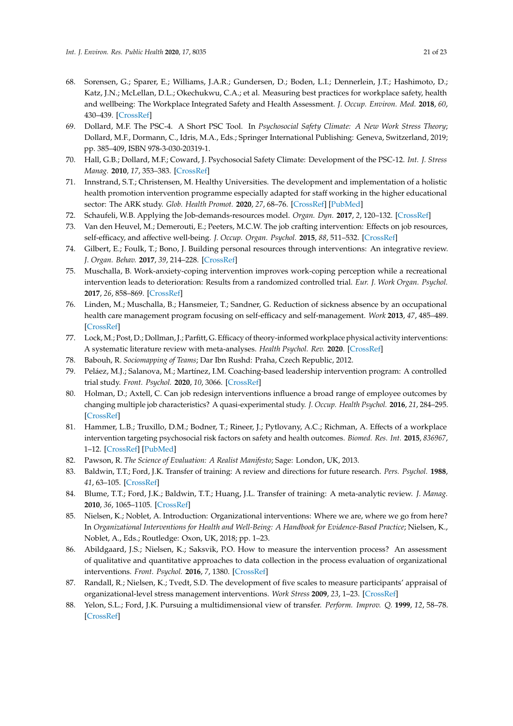- <span id="page-20-0"></span>68. Sorensen, G.; Sparer, E.; Williams, J.A.R.; Gundersen, D.; Boden, L.I.; Dennerlein, J.T.; Hashimoto, D.; Katz, J.N.; McLellan, D.L.; Okechukwu, C.A.; et al. Measuring best practices for workplace safety, health and wellbeing: The Workplace Integrated Safety and Health Assessment. *J. Occup. Environ. Med.* **2018**, *60*, 430–439. [\[CrossRef\]](http://dx.doi.org/10.1097/JOM.0000000000001286)
- <span id="page-20-1"></span>69. Dollard, M.F. The PSC-4. A Short PSC Tool. In *Psychosocial Safety Climate: A New Work Stress Theory*; Dollard, M.F., Dormann, C., Idris, M.A., Eds.; Springer International Publishing: Geneva, Switzerland, 2019; pp. 385–409, ISBN 978-3-030-20319-1.
- <span id="page-20-2"></span>70. Hall, G.B.; Dollard, M.F.; Coward, J. Psychosocial Safety Climate: Development of the PSC-12. *Int. J. Stress Manag.* **2010**, *17*, 353–383. [\[CrossRef\]](http://dx.doi.org/10.1037/a0021320)
- <span id="page-20-3"></span>71. Innstrand, S.T.; Christensen, M. Healthy Universities. The development and implementation of a holistic health promotion intervention programme especially adapted for staff working in the higher educational sector: The ARK study. *Glob. Health Promot.* **2020**, *27*, 68–76. [\[CrossRef\]](http://dx.doi.org/10.1177/1757975918786877) [\[PubMed\]](http://www.ncbi.nlm.nih.gov/pubmed/30328755)
- <span id="page-20-4"></span>72. Schaufeli, W.B. Applying the Job-demands-resources model. *Organ. Dyn.* **2017**, *2*, 120–132. [\[CrossRef\]](http://dx.doi.org/10.1016/j.orgdyn.2017.04.008)
- <span id="page-20-5"></span>73. Van den Heuvel, M.; Demerouti, E.; Peeters, M.C.W. The job crafting intervention: Effects on job resources, self-efficacy, and affective well-being. *J. Occup. Organ. Psychol.* **2015**, *88*, 511–532. [\[CrossRef\]](http://dx.doi.org/10.1111/joop.12128)
- <span id="page-20-6"></span>74. Gilbert, E.; Foulk, T.; Bono, J. Building personal resources through interventions: An integrative review. *J. Organ. Behav.* **2017**, *39*, 214–228. [\[CrossRef\]](http://dx.doi.org/10.1002/job.2198)
- <span id="page-20-7"></span>75. Muschalla, B. Work-anxiety-coping intervention improves work-coping perception while a recreational intervention leads to deterioration: Results from a randomized controlled trial. *Eur. J. Work Organ. Psychol.* **2017**, *26*, 858–869. [\[CrossRef\]](http://dx.doi.org/10.1080/1359432X.2017.1384378)
- <span id="page-20-8"></span>76. Linden, M.; Muschalla, B.; Hansmeier, T.; Sandner, G. Reduction of sickness absence by an occupational health care management program focusing on self-efficacy and self-management. *Work* **2013**, *47*, 485–489. [\[CrossRef\]](http://dx.doi.org/10.3233/WOR-131616)
- <span id="page-20-9"></span>77. Lock, M.; Post, D.; Dollman, J.; Parfitt, G. Efficacy of theory-informed workplace physical activity interventions: A systematic literature review with meta-analyses. *Health Psychol. Rev.* **2020**. [\[CrossRef\]](http://dx.doi.org/10.1080/17437199.2020.1718528)
- <span id="page-20-10"></span>78. Babouh, R. *Sociomapping of Teams*; Dar Ibn Rushd: Praha, Czech Republic, 2012.
- <span id="page-20-11"></span>79. Peláez, M.J.; Salanova, M.; Martínez, I.M. Coaching-based leadership intervention program: A controlled trial study. *Front. Psychol.* **2020**, *10*, 3066. [\[CrossRef\]](http://dx.doi.org/10.3389/fpsyg.2019.03066)
- <span id="page-20-12"></span>80. Holman, D.; Axtell, C. Can job redesign interventions influence a broad range of employee outcomes by changing multiple job characteristics? A quasi-experimental study. *J. Occup. Health Psychol.* **2016**, *21*, 284–295. [\[CrossRef\]](http://dx.doi.org/10.1037/a0039962)
- <span id="page-20-13"></span>81. Hammer, L.B.; Truxillo, D.M.; Bodner, T.; Rineer, J.; Pytlovany, A.C.; Richman, A. Effects of a workplace intervention targeting psychosocial risk factors on safety and health outcomes. *Biomed. Res. Int.* **2015**, *836967*, 1–12. [\[CrossRef\]](http://dx.doi.org/10.1155/2015/836967) [\[PubMed\]](http://www.ncbi.nlm.nih.gov/pubmed/26557703)
- <span id="page-20-14"></span>82. Pawson, R. *The Science of Evaluation: A Realist Manifesto*; Sage: London, UK, 2013.
- <span id="page-20-15"></span>83. Baldwin, T.T.; Ford, J.K. Transfer of training: A review and directions for future research. *Pers. Psychol.* **1988**, *41*, 63–105. [\[CrossRef\]](http://dx.doi.org/10.1111/j.1744-6570.1988.tb00632.x)
- <span id="page-20-16"></span>84. Blume, T.T.; Ford, J.K.; Baldwin, T.T.; Huang, J.L. Transfer of training: A meta-analytic review. *J. Manag.* **2010**, *36*, 1065–1105. [\[CrossRef\]](http://dx.doi.org/10.1177/0149206309352880)
- <span id="page-20-17"></span>85. Nielsen, K.; Noblet, A. Introduction: Organizational interventions: Where we are, where we go from here? In *Organizational Interventions for Health and Well-Being: A Handbook for Evidence-Based Practice*; Nielsen, K., Noblet, A., Eds.; Routledge: Oxon, UK, 2018; pp. 1–23.
- <span id="page-20-18"></span>86. Abildgaard, J.S.; Nielsen, K.; Saksvik, P.O. How to measure the intervention process? An assessment of qualitative and quantitative approaches to data collection in the process evaluation of organizational interventions. *Front. Psychol.* **2016**, *7*, 1380. [\[CrossRef\]](http://dx.doi.org/10.3389/fpsyg.2016.01380)
- <span id="page-20-19"></span>87. Randall, R.; Nielsen, K.; Tvedt, S.D. The development of five scales to measure participants' appraisal of organizational-level stress management interventions. *Work Stress* **2009**, *23*, 1–23. [\[CrossRef\]](http://dx.doi.org/10.1080/02678370902815277)
- <span id="page-20-20"></span>88. Yelon, S.L.; Ford, J.K. Pursuing a multidimensional view of transfer. *Perform. Improv. Q.* **1999**, *12*, 58–78. [\[CrossRef\]](http://dx.doi.org/10.1111/j.1937-8327.1999.tb00138.x)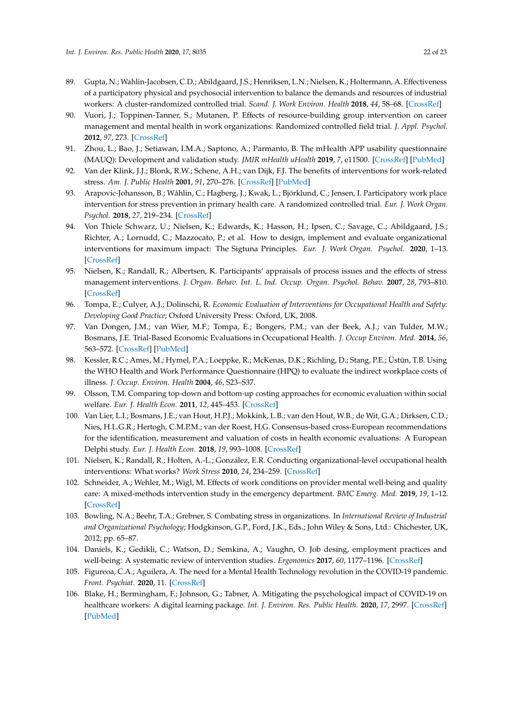- <span id="page-21-0"></span>89. Gupta, N.; Wahlin-Jacobsen, C.D.; Abildgaard, J.S.; Henriksen, L.N.; Nielsen, K.; Holtermann, A. Effectiveness of a participatory physical and psychosocial intervention to balance the demands and resources of industrial workers: A cluster-randomized controlled trial. *Scand. J. Work Environ. Health* **2018**, *44*, 58–68. [\[CrossRef\]](http://dx.doi.org/10.5271/sjweh.3689)
- <span id="page-21-1"></span>90. Vuori, J.; Toppinen-Tanner, S.; Mutanen, P. Effects of resource-building group intervention on career management and mental health in work organizations: Randomized controlled field trial. *J. Appl. Psychol.* **2012**, *97*, 273. [\[CrossRef\]](http://dx.doi.org/10.1037/a0025584)
- <span id="page-21-2"></span>91. Zhou, L.; Bao, J.; Setiawan, I.M.A.; Saptono, A.; Parmanto, B. The mHealth APP usability questionnaire (MAUQ): Development and validation study. *JMIR mHealth uHealth* **2019**, *7*, e11500. [\[CrossRef\]](http://dx.doi.org/10.2196/11500) [\[PubMed\]](http://www.ncbi.nlm.nih.gov/pubmed/30973342)
- <span id="page-21-3"></span>92. Van der Klink, J.J.; Blonk, R.W.; Schene, A.H.; van Dijk, F.J. The benefits of interventions for work-related stress. *Am. J. Public Health* **2001**, *91*, 270–276. [\[CrossRef\]](http://dx.doi.org/10.2105/ajph.91.2.270) [\[PubMed\]](http://www.ncbi.nlm.nih.gov/pubmed/11211637)
- <span id="page-21-4"></span>93. Arapovic-Johansson, B.; Wåhlin, C.; Hagberg, J.; Kwak, L.; Björklund, C.; Jensen, I. Participatory work place intervention for stress prevention in primary health care. A randomized controlled trial. *Eur. J. Work Organ. Psychol.* **2018**, *27*, 219–234. [\[CrossRef\]](http://dx.doi.org/10.1080/1359432X.2018.1431883)
- <span id="page-21-5"></span>94. Von Thiele Schwarz, U.; Nielsen, K.; Edwards, K.; Hasson, H.; Ipsen, C.; Savage, C.; Abildgaard, J.S.; Richter, A.; Lornudd, C.; Mazzocato, P.; et al. How to design, implement and evaluate organizational interventions for maximum impact: The Sigtuna Principles. *Eur. J. Work Organ. Psychol.* **2020**, 1–13. [\[CrossRef\]](http://dx.doi.org/10.1080/1359432X.2020.1803960)
- <span id="page-21-6"></span>95. Nielsen, K.; Randall, R.; Albertsen, K. Participants' appraisals of process issues and the effects of stress management interventions. *J. Organ. Behav. Int. L. Ind. Occup. Organ. Psychol. Behav.* **2007**, *28*, 793–810. [\[CrossRef\]](http://dx.doi.org/10.1002/job.450)
- <span id="page-21-7"></span>96. Tompa, E.; Culyer, A.J.; Dolinschi, R. *Economic Evaluation of Interventions for Occupational Health and Safety: Developing Good Practice*; Oxford University Press: Oxford, UK, 2008.
- <span id="page-21-8"></span>97. Van Dongen, J.M.; van Wier, M.F.; Tompa, E.; Bongers, P.M.; van der Beek, A.J.; van Tulder, M.W.; Bosmans, J.E. Trial-Based Economic Evaluations in Occupational Health. *J. Occup Environ. Med.* **2014**, *56*, 563–572. [\[CrossRef\]](http://dx.doi.org/10.1097/JOM.0000000000000165) [\[PubMed\]](http://www.ncbi.nlm.nih.gov/pubmed/24854249)
- <span id="page-21-9"></span>98. Kessler, R.C.; Ames, M.; Hymel, P.A.; Loeppke, R.; McKenas, D.K.; Richling, D.; Stang, P.E.; Üstün, T.B. Using the WHO Health and Work Performance Questionnaire (HPQ) to evaluate the indirect workplace costs of illness. *J. Occup. Environ. Health* **2004**, *46*, S23–S37.
- <span id="page-21-10"></span>99. Olsson, T.M. Comparing top-down and bottom-up costing approaches for economic evaluation within social welfare. *Eur. J. Health Econ.* **2011**, *12*, 445–453. [\[CrossRef\]](http://dx.doi.org/10.1007/s10198-010-0257-z)
- <span id="page-21-11"></span>100. Van Lier, L.I.; Bosmans, J.E.; van Hout, H.P.J.; Mokkink, L.B.; van den Hout, W.B.; de Wit, G.A.; Dirksen, C.D.; Nies, H.L.G.R.; Hertogh, C.M.P.M.; van der Roest, H.G. Consensus-based cross-European recommendations for the identification, measurement and valuation of costs in health economic evaluations: A European Delphi study. *Eur. J. Health Econ.* **2018**, *19*, 993–1008. [\[CrossRef\]](http://dx.doi.org/10.1007/s10198-017-0947-x)
- <span id="page-21-12"></span>101. Nielsen, K.; Randall, R.; Holten, A.-L.; González, E.R. Conducting organizational-level occupational health interventions: What works? *Work Stress* **2010**, *24*, 234–259. [\[CrossRef\]](http://dx.doi.org/10.1080/02678373.2010.515393)
- 102. Schneider, A.; Wehler, M.; Wigl, M. Effects of work conditions on provider mental well-being and quality care: A mixed-methods intervention study in the emergency department. *BMC Emerg. Med.* **2019**, *19*, 1–12. [\[CrossRef\]](http://dx.doi.org/10.1186/s12873-018-0218-x)
- <span id="page-21-13"></span>103. Bowling, N.A.; Beehr, T.A.; Grebner, S. Combating stress in organizations. In *International Review of Industrial and Organizational Psychology*; Hodgkinson, G.P., Ford, J.K., Eds.; John Wiley & Sons, Ltd.: Chichester, UK, 2012; pp. 65–87.
- <span id="page-21-14"></span>104. Daniels, K.; Gedikli, C.; Watson, D.; Semkina, A.; Vaughn, O. Job desing, employment practices and well-being: A systematic review of intervention studies. *Ergonomics* **2017**, *60*, 1177–1196. [\[CrossRef\]](http://dx.doi.org/10.1080/00140139.2017.1303085)
- <span id="page-21-15"></span>105. Figureoa, C.A.; Aguilera, A. The need for a Mental Health Technology revolution in the COVID-19 pandemic. *Front. Psychiat.* **2020**, 11. [\[CrossRef\]](http://dx.doi.org/10.3389/fpsyt.2020.00523)
- <span id="page-21-16"></span>106. Blake, H.; Bermingham, F.; Johnson, G.; Tabner, A. Mitigating the psychological impact of COVID-19 on healthcare workers: A digital learning package. *Int. J. Environ. Res. Public Health.* **2020**, *17*, 2997. [\[CrossRef\]](http://dx.doi.org/10.3390/ijerph17092997) [\[PubMed\]](http://www.ncbi.nlm.nih.gov/pubmed/32357424)